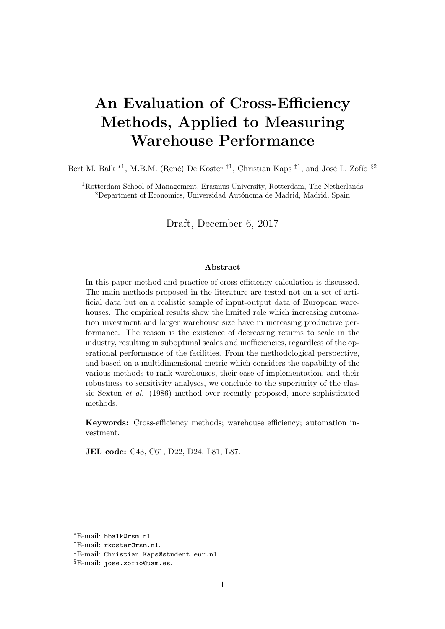# An Evaluation of Cross-Efficiency Methods, Applied to Measuring Warehouse Performance

Bert M. Balk <sup>\*1</sup>, M.B.M. (René) De Koster <sup>†1</sup>, Christian Kaps <sup>‡1</sup>, and José L. Zofío<sup>§2</sup>

<sup>1</sup>Rotterdam School of Management, Erasmus University, Rotterdam, The Netherlands <sup>2</sup>Department of Economics, Universidad Autónoma de Madrid, Madrid, Spain

Draft, December 6, 2017

#### Abstract

In this paper method and practice of cross-efficiency calculation is discussed. The main methods proposed in the literature are tested not on a set of artificial data but on a realistic sample of input-output data of European warehouses. The empirical results show the limited role which increasing automation investment and larger warehouse size have in increasing productive performance. The reason is the existence of decreasing returns to scale in the industry, resulting in suboptimal scales and inefficiencies, regardless of the operational performance of the facilities. From the methodological perspective, and based on a multidimensional metric which considers the capability of the various methods to rank warehouses, their ease of implementation, and their robustness to sensitivity analyses, we conclude to the superiority of the classic Sexton et al. (1986) method over recently proposed, more sophisticated methods.

Keywords: Cross-efficiency methods; warehouse efficiency; automation investment.

JEL code: C43, C61, D22, D24, L81, L87.

<sup>∗</sup>E-mail: bbalk@rsm.nl.

<sup>†</sup>E-mail: rkoster@rsm.nl.

<sup>‡</sup>E-mail: Christian.Kaps@student.eur.nl.

<sup>§</sup>E-mail: jose.zofio@uam.es.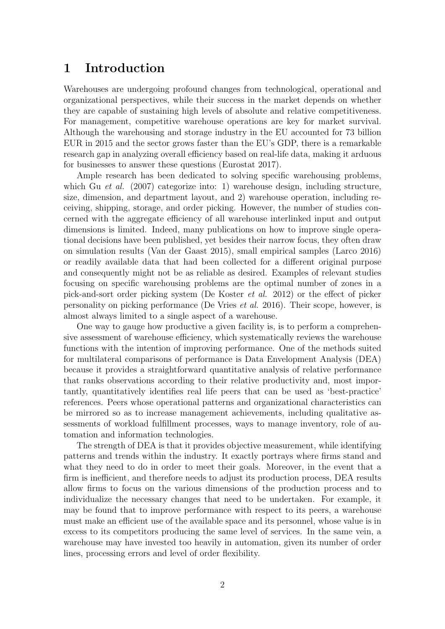# 1 Introduction

Warehouses are undergoing profound changes from technological, operational and organizational perspectives, while their success in the market depends on whether they are capable of sustaining high levels of absolute and relative competitiveness. For management, competitive warehouse operations are key for market survival. Although the warehousing and storage industry in the EU accounted for 73 billion EUR in 2015 and the sector grows faster than the EU's GDP, there is a remarkable research gap in analyzing overall efficiency based on real-life data, making it arduous for businesses to answer these questions (Eurostat 2017).

Ample research has been dedicated to solving specific warehousing problems, which Gu *et al.* (2007) categorize into: 1) warehouse design, including structure, size, dimension, and department layout, and 2) warehouse operation, including receiving, shipping, storage, and order picking. However, the number of studies concerned with the aggregate efficiency of all warehouse interlinked input and output dimensions is limited. Indeed, many publications on how to improve single operational decisions have been published, yet besides their narrow focus, they often draw on simulation results (Van der Gaast 2015), small empirical samples (Larco 2016) or readily available data that had been collected for a different original purpose and consequently might not be as reliable as desired. Examples of relevant studies focusing on specific warehousing problems are the optimal number of zones in a pick-and-sort order picking system (De Koster et al. 2012) or the effect of picker personality on picking performance (De Vries et al. 2016). Their scope, however, is almost always limited to a single aspect of a warehouse.

One way to gauge how productive a given facility is, is to perform a comprehensive assessment of warehouse efficiency, which systematically reviews the warehouse functions with the intention of improving performance. One of the methods suited for multilateral comparisons of performance is Data Envelopment Analysis (DEA) because it provides a straightforward quantitative analysis of relative performance that ranks observations according to their relative productivity and, most importantly, quantitatively identifies real life peers that can be used as 'best-practice' references. Peers whose operational patterns and organizational characteristics can be mirrored so as to increase management achievements, including qualitative assessments of workload fulfillment processes, ways to manage inventory, role of automation and information technologies.

The strength of DEA is that it provides objective measurement, while identifying patterns and trends within the industry. It exactly portrays where firms stand and what they need to do in order to meet their goals. Moreover, in the event that a firm is inefficient, and therefore needs to adjust its production process, DEA results allow firms to focus on the various dimensions of the production process and to individualize the necessary changes that need to be undertaken. For example, it may be found that to improve performance with respect to its peers, a warehouse must make an efficient use of the available space and its personnel, whose value is in excess to its competitors producing the same level of services. In the same vein, a warehouse may have invested too heavily in automation, given its number of order lines, processing errors and level of order flexibility.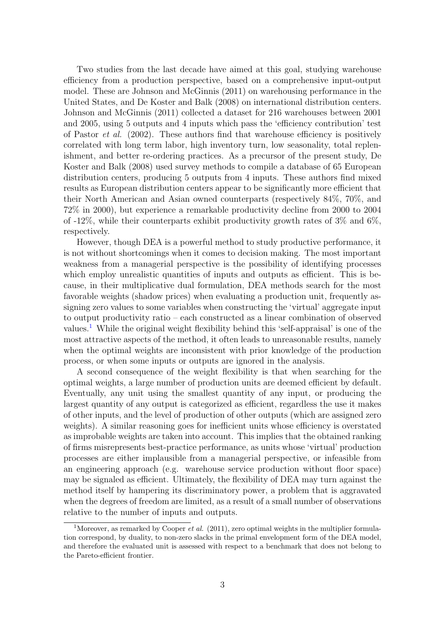Two studies from the last decade have aimed at this goal, studying warehouse efficiency from a production perspective, based on a comprehensive input-output model. These are Johnson and McGinnis (2011) on warehousing performance in the United States, and De Koster and Balk (2008) on international distribution centers. Johnson and McGinnis (2011) collected a dataset for 216 warehouses between 2001 and 2005, using 5 outputs and 4 inputs which pass the 'efficiency contribution' test of Pastor et al. (2002). These authors find that warehouse efficiency is positively correlated with long term labor, high inventory turn, low seasonality, total replenishment, and better re-ordering practices. As a precursor of the present study, De Koster and Balk (2008) used survey methods to compile a database of 65 European distribution centers, producing 5 outputs from 4 inputs. These authors find mixed results as European distribution centers appear to be significantly more efficient that their North American and Asian owned counterparts (respectively 84%, 70%, and 72% in 2000), but experience a remarkable productivity decline from 2000 to 2004 of  $-12\%$ , while their counterparts exhibit productivity growth rates of  $3\%$  and  $6\%$ . respectively.

However, though DEA is a powerful method to study productive performance, it is not without shortcomings when it comes to decision making. The most important weakness from a managerial perspective is the possibility of identifying processes which employ unrealistic quantities of inputs and outputs as efficient. This is because, in their multiplicative dual formulation, DEA methods search for the most favorable weights (shadow prices) when evaluating a production unit, frequently assigning zero values to some variables when constructing the 'virtual' aggregate input to output productivity ratio – each constructed as a linear combination of observed values.<sup>[1](#page-2-0)</sup> While the original weight flexibility behind this 'self-appraisal' is one of the most attractive aspects of the method, it often leads to unreasonable results, namely when the optimal weights are inconsistent with prior knowledge of the production process, or when some inputs or outputs are ignored in the analysis.

A second consequence of the weight flexibility is that when searching for the optimal weights, a large number of production units are deemed efficient by default. Eventually, any unit using the smallest quantity of any input, or producing the largest quantity of any output is categorized as efficient, regardless the use it makes of other inputs, and the level of production of other outputs (which are assigned zero weights). A similar reasoning goes for inefficient units whose efficiency is overstated as improbable weights are taken into account. This implies that the obtained ranking of firms misrepresents best-practice performance, as units whose 'virtual' production processes are either implausible from a managerial perspective, or infeasible from an engineering approach (e.g. warehouse service production without floor space) may be signaled as efficient. Ultimately, the flexibility of DEA may turn against the method itself by hampering its discriminatory power, a problem that is aggravated when the degrees of freedom are limited, as a result of a small number of observations relative to the number of inputs and outputs.

<span id="page-2-0"></span><sup>&</sup>lt;sup>1</sup>Moreover, as remarked by Cooper *et al.* (2011), zero optimal weights in the multiplier formulation correspond, by duality, to non-zero slacks in the primal envelopment form of the DEA model, and therefore the evaluated unit is assessed with respect to a benchmark that does not belong to the Pareto-efficient frontier.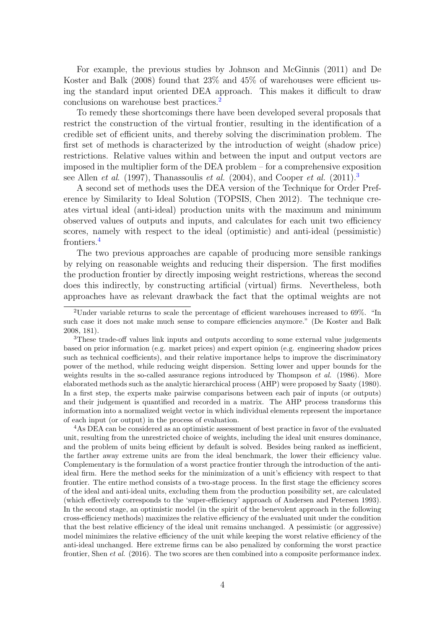For example, the previous studies by Johnson and McGinnis (2011) and De Koster and Balk (2008) found that 23% and 45% of warehouses were efficient using the standard input oriented DEA approach. This makes it difficult to draw conclusions on warehouse best practices.[2](#page-3-0)

To remedy these shortcomings there have been developed several proposals that restrict the construction of the virtual frontier, resulting in the identification of a credible set of efficient units, and thereby solving the discrimination problem. The first set of methods is characterized by the introduction of weight (shadow price) restrictions. Relative values within and between the input and output vectors are imposed in the multiplier form of the DEA problem – for a comprehensive exposition see Allen *et al.* (1997), Thanassoulis *et al.* (2004), and Cooper *et al.* (2011).<sup>[3](#page-3-1)</sup>

A second set of methods uses the DEA version of the Technique for Order Preference by Similarity to Ideal Solution (TOPSIS, Chen 2012). The technique creates virtual ideal (anti-ideal) production units with the maximum and minimum observed values of outputs and inputs, and calculates for each unit two efficiency scores, namely with respect to the ideal (optimistic) and anti-ideal (pessimistic) frontiers.[4](#page-3-2)

The two previous approaches are capable of producing more sensible rankings by relying on reasonable weights and reducing their dispersion. The first modifies the production frontier by directly imposing weight restrictions, whereas the second does this indirectly, by constructing artificial (virtual) firms. Nevertheless, both approaches have as relevant drawback the fact that the optimal weights are not

<span id="page-3-2"></span><sup>4</sup>As DEA can be considered as an optimistic assessment of best practice in favor of the evaluated unit, resulting from the unrestricted choice of weights, including the ideal unit ensures dominance, and the problem of units being efficient by default is solved. Besides being ranked as inefficient, the farther away extreme units are from the ideal benchmark, the lower their efficiency value. Complementary is the formulation of a worst practice frontier through the introduction of the antiideal firm. Here the method seeks for the minimization of a unit's efficiency with respect to that frontier. The entire method consists of a two-stage process. In the first stage the efficiency scores of the ideal and anti-ideal units, excluding them from the production possibility set, are calculated (which effectively corresponds to the 'super-efficiency' approach of Andersen and Petersen 1993). In the second stage, an optimistic model (in the spirit of the benevolent approach in the following cross-efficiency methods) maximizes the relative efficiency of the evaluated unit under the condition that the best relative efficiency of the ideal unit remains unchanged. A pessimistic (or aggressive) model minimizes the relative efficiency of the unit while keeping the worst relative efficiency of the anti-ideal unchanged. Here extreme firms can be also penalized by conforming the worst practice frontier, Shen *et al.* (2016). The two scores are then combined into a composite performance index.

<span id="page-3-0"></span><sup>2</sup>Under variable returns to scale the percentage of efficient warehouses increased to 69%. "In such case it does not make much sense to compare efficiencies anymore." (De Koster and Balk 2008, 181).

<span id="page-3-1"></span><sup>&</sup>lt;sup>3</sup>These trade-off values link inputs and outputs according to some external value judgements based on prior information (e.g. market prices) and expert opinion (e.g. engineering shadow prices such as technical coefficients), and their relative importance helps to improve the discriminatory power of the method, while reducing weight dispersion. Setting lower and upper bounds for the weights results in the so-called assurance regions introduced by Thompson *et al.* (1986). More elaborated methods such as the analytic hierarchical process (AHP) were proposed by Saaty (1980). In a first step, the experts make pairwise comparisons between each pair of inputs (or outputs) and their judgement is quantified and recorded in a matrix. The AHP process transforms this information into a normalized weight vector in which individual elements represent the importance of each input (or output) in the process of evaluation.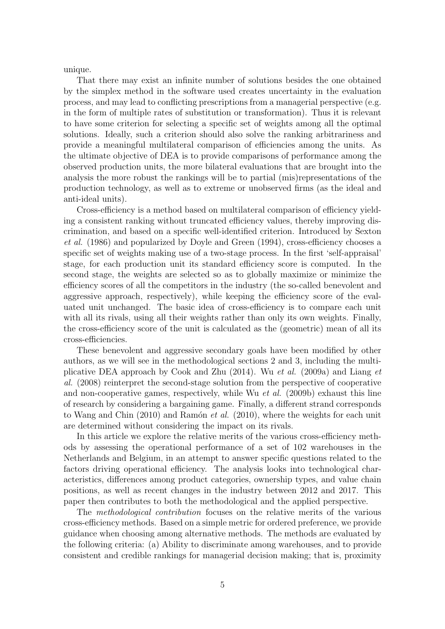unique.

That there may exist an infinite number of solutions besides the one obtained by the simplex method in the software used creates uncertainty in the evaluation process, and may lead to conflicting prescriptions from a managerial perspective (e.g. in the form of multiple rates of substitution or transformation). Thus it is relevant to have some criterion for selecting a specific set of weights among all the optimal solutions. Ideally, such a criterion should also solve the ranking arbitrariness and provide a meaningful multilateral comparison of efficiencies among the units. As the ultimate objective of DEA is to provide comparisons of performance among the observed production units, the more bilateral evaluations that are brought into the analysis the more robust the rankings will be to partial (mis)representations of the production technology, as well as to extreme or unobserved firms (as the ideal and anti-ideal units).

Cross-efficiency is a method based on multilateral comparison of efficiency yielding a consistent ranking without truncated efficiency values, thereby improving discrimination, and based on a specific well-identified criterion. Introduced by Sexton et al. (1986) and popularized by Doyle and Green (1994), cross-efficiency chooses a specific set of weights making use of a two-stage process. In the first 'self-appraisal' stage, for each production unit its standard efficiency score is computed. In the second stage, the weights are selected so as to globally maximize or minimize the efficiency scores of all the competitors in the industry (the so-called benevolent and aggressive approach, respectively), while keeping the efficiency score of the evaluated unit unchanged. The basic idea of cross-efficiency is to compare each unit with all its rivals, using all their weights rather than only its own weights. Finally, the cross-efficiency score of the unit is calculated as the (geometric) mean of all its cross-efficiencies.

These benevolent and aggressive secondary goals have been modified by other authors, as we will see in the methodological sections 2 and 3, including the multiplicative DEA approach by Cook and Zhu (2014). Wu et al. (2009a) and Liang et al. (2008) reinterpret the second-stage solution from the perspective of cooperative and non-cooperative games, respectively, while Wu et al. (2009b) exhaust this line of research by considering a bargaining game. Finally, a different strand corresponds to Wang and Chin  $(2010)$  and Ramón *et al.*  $(2010)$ , where the weights for each unit are determined without considering the impact on its rivals.

In this article we explore the relative merits of the various cross-efficiency methods by assessing the operational performance of a set of 102 warehouses in the Netherlands and Belgium, in an attempt to answer specific questions related to the factors driving operational efficiency. The analysis looks into technological characteristics, differences among product categories, ownership types, and value chain positions, as well as recent changes in the industry between 2012 and 2017. This paper then contributes to both the methodological and the applied perspective.

The methodological contribution focuses on the relative merits of the various cross-efficiency methods. Based on a simple metric for ordered preference, we provide guidance when choosing among alternative methods. The methods are evaluated by the following criteria: (a) Ability to discriminate among warehouses, and to provide consistent and credible rankings for managerial decision making; that is, proximity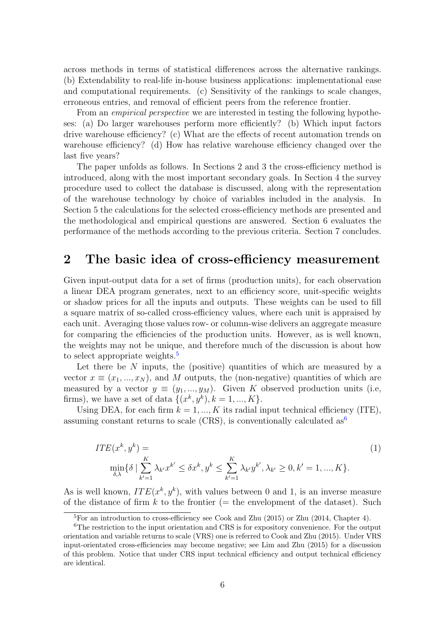across methods in terms of statistical differences across the alternative rankings. (b) Extendability to real-life in-house business applications: implementational ease and computational requirements. (c) Sensitivity of the rankings to scale changes, erroneous entries, and removal of efficient peers from the reference frontier.

From an *empirical perspective* we are interested in testing the following hypotheses: (a) Do larger warehouses perform more efficiently? (b) Which input factors drive warehouse efficiency? (c) What are the effects of recent automation trends on warehouse efficiency? (d) How has relative warehouse efficiency changed over the last five years?

The paper unfolds as follows. In Sections 2 and 3 the cross-efficiency method is introduced, along with the most important secondary goals. In Section 4 the survey procedure used to collect the database is discussed, along with the representation of the warehouse technology by choice of variables included in the analysis. In Section 5 the calculations for the selected cross-efficiency methods are presented and the methodological and empirical questions are answered. Section 6 evaluates the performance of the methods according to the previous criteria. Section 7 concludes.

# 2 The basic idea of cross-efficiency measurement

Given input-output data for a set of firms (production units), for each observation a linear DEA program generates, next to an efficiency score, unit-specific weights or shadow prices for all the inputs and outputs. These weights can be used to fill a square matrix of so-called cross-efficiency values, where each unit is appraised by each unit. Averaging those values row- or column-wise delivers an aggregate measure for comparing the efficiencies of the production units. However, as is well known, the weights may not be unique, and therefore much of the discussion is about how to select appropriate weights.<sup>[5](#page-5-0)</sup>

Let there be  $N$  inputs, the (positive) quantities of which are measured by a vector  $x \equiv (x_1, ..., x_N)$ , and M outputs, the (non-negative) quantities of which are measured by a vector  $y \equiv (y_1, ..., y_M)$ . Given K observed production units (i.e, firms), we have a set of data  $\{(x^k, y^k), k = 1, ..., K\}.$ 

Using DEA, for each firm  $k = 1, ..., K$  its radial input technical efficiency (ITE), assuming constant returns to scale (CRS), is conventionally calculated  $as<sup>6</sup>$  $as<sup>6</sup>$  $as<sup>6</sup>$ 

<span id="page-5-2"></span>
$$
ITE(x^{k}, y^{k}) = \min_{\substack{K \\ \delta, \lambda}} \{\delta \mid \sum_{k'=1}^{K} \lambda_{k'} x^{k'} \le \delta x^{k}, y^{k} \le \sum_{k'=1}^{K} \lambda_{k'} y^{k'}, \lambda_{k'} \ge 0, k' = 1, ..., K\}.
$$
\n(1)

As is well known,  $ITE(x^k, y^k)$ , with values between 0 and 1, is an inverse measure of the distance of firm k to the frontier (= the envelopment of the dataset). Such

<span id="page-5-1"></span><span id="page-5-0"></span><sup>5</sup>For an introduction to cross-efficiency see Cook and Zhu (2015) or Zhu (2014, Chapter 4).

<sup>&</sup>lt;sup>6</sup>The restriction to the input orientation and CRS is for expository convenience. For the output orientation and variable returns to scale (VRS) one is referred to Cook and Zhu (2015). Under VRS input-orientated cross-efficiencies may become negative; see Lim and Zhu (2015) for a discussion of this problem. Notice that under CRS input technical efficiency and output technical efficiency are identical.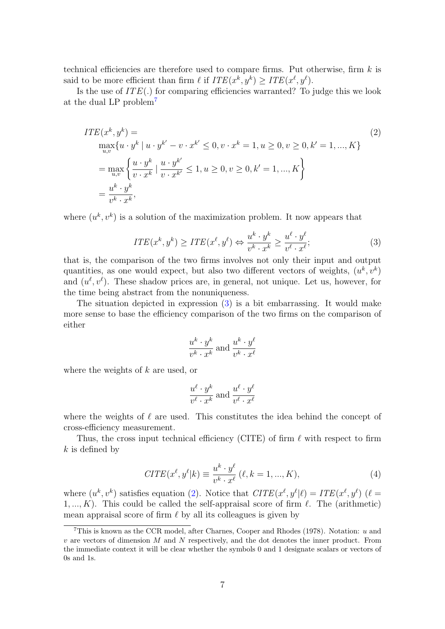technical efficiencies are therefore used to compare firms. Put otherwise, firm  $k$  is said to be more efficient than firm  $\ell$  if  $ITE(x^k, y^k) \geq ITE(x^{\ell}, y^{\ell}).$ 

Is the use of  $ITE(.)$  for comparing efficiencies warranted? To judge this we look at the dual LP problem[7](#page-6-0)

<span id="page-6-2"></span>
$$
ITE(x^{k}, y^{k}) =
$$
  
\n
$$
\max_{u,v} \{u \cdot y^{k} | u \cdot y^{k'} - v \cdot x^{k'} \le 0, v \cdot x^{k} = 1, u \ge 0, v \ge 0, k' = 1, ..., K\}
$$
  
\n
$$
= \max_{u,v} \left\{ \frac{u \cdot y^{k}}{v \cdot x^{k}} | \frac{u \cdot y^{k'}}{v \cdot x^{k'}} \le 1, u \ge 0, v \ge 0, k' = 1, ..., K \right\}
$$
  
\n
$$
= \frac{u^{k} \cdot y^{k}}{v^{k} \cdot x^{k}},
$$
\n(2)

where  $(u^k, v^k)$  is a solution of the maximization problem. It now appears that

<span id="page-6-1"></span>
$$
ITE(x^k, y^k) \geq ITE(x^\ell, y^\ell) \Leftrightarrow \frac{u^k \cdot y^k}{v^k \cdot x^k} \geq \frac{u^\ell \cdot y^\ell}{v^\ell \cdot x^\ell};\tag{3}
$$

that is, the comparison of the two firms involves not only their input and output quantities, as one would expect, but also two different vectors of weights,  $(u^k, v^k)$ and  $(u^{\ell}, v^{\ell})$ . These shadow prices are, in general, not unique. Let us, however, for the time being abstract from the nonuniqueness.

The situation depicted in expression [\(3\)](#page-6-1) is a bit embarrassing. It would make more sense to base the efficiency comparison of the two firms on the comparison of either

$$
\frac{u^k \cdot y^k}{v^k \cdot x^k}
$$
 and 
$$
\frac{u^k \cdot y^\ell}{v^k \cdot x^\ell}
$$

where the weights of  $k$  are used, or

$$
\frac{u^{\ell} \cdot y^k}{v^{\ell} \cdot x^k}
$$
 and 
$$
\frac{u^{\ell} \cdot y^{\ell}}{v^{\ell} \cdot x^{\ell}}
$$

where the weights of  $\ell$  are used. This constitutes the idea behind the concept of cross-efficiency measurement.

Thus, the cross input technical efficiency (CITE) of firm  $\ell$  with respect to firm  $k$  is defined by

<span id="page-6-3"></span>
$$
CITE(x^{\ell}, y^{\ell}|k) \equiv \frac{u^k \cdot y^{\ell}}{v^k \cdot x^{\ell}} (\ell, k = 1, ..., K),
$$
\n(4)

where  $(u^k, v^k)$  satisfies equation [\(2\)](#page-6-2). Notice that  $CITE(x^{\ell}, y^{\ell}|\ell) = ITE(x^{\ell}, y^{\ell})$  ( $\ell =$  $1, ..., K$ ). This could be called the self-appraisal score of firm  $\ell$ . The (arithmetic) mean appraisal score of firm  $\ell$  by all its colleagues is given by

<span id="page-6-0"></span><sup>&</sup>lt;sup>7</sup>This is known as the CCR model, after Charnes, Cooper and Rhodes (1978). Notation:  $u$  and  $v$  are vectors of dimension M and N respectively, and the dot denotes the inner product. From the immediate context it will be clear whether the symbols 0 and 1 designate scalars or vectors of 0s and 1s.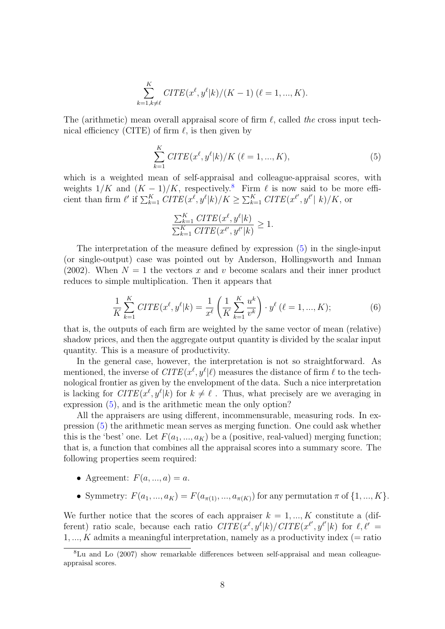$$
\sum_{k=1, k \neq \ell}^{K} CITE(x^{\ell}, y^{\ell}|k)/(K-1) (\ell = 1, ..., K).
$$

The (arithmetic) mean overall appraisal score of firm  $\ell$ , called the cross input technical efficiency (CITE) of firm  $\ell$ , is then given by

<span id="page-7-1"></span>
$$
\sum_{k=1}^{K} CITE(x^{\ell}, y^{\ell}|k) / K (\ell = 1, ..., K),
$$
\n(5)

which is a weighted mean of self-appraisal and colleague-appraisal scores, with weights  $1/K$  and  $(K - 1)/K$ , respectively.<sup>[8](#page-7-0)</sup> Firm  $\ell$  is now said to be more efficient than firm  $\ell'$  if  $\sum_{k=1}^K CITE(x^{\ell}, y^{\ell}|k)/K \geq \sum_{k=1}^K CITE(x^{\ell'}, y^{\ell'}|k)/K$ , or

$$
\frac{\sum_{k=1}^K \text{CITE}(x^{\ell}, y^{\ell}|k)}{\sum_{k=1}^K \text{CITE}(x^{\ell'}, y^{\ell'}|k)} \ge 1.
$$

The interpretation of the measure defined by expression [\(5\)](#page-7-1) in the single-input (or single-output) case was pointed out by Anderson, Hollingsworth and Inman (2002). When  $N = 1$  the vectors x and v become scalars and their inner product reduces to simple multiplication. Then it appears that

$$
\frac{1}{K} \sum_{k=1}^{K} CITE(x^{\ell}, y^{\ell}|k) = \frac{1}{x^{\ell}} \left( \frac{1}{K} \sum_{k=1}^{K} \frac{u^{k}}{v^{k}} \right) \cdot y^{\ell} \left( \ell = 1, ..., K \right); \tag{6}
$$

that is, the outputs of each firm are weighted by the same vector of mean (relative) shadow prices, and then the aggregate output quantity is divided by the scalar input quantity. This is a measure of productivity.

In the general case, however, the interpretation is not so straightforward. As mentioned, the inverse of  $CITE(x^{\ell}, y^{\ell}|\ell)$  measures the distance of firm  $\ell$  to the technological frontier as given by the envelopment of the data. Such a nice interpretation is lacking for  $CITE(x^{\ell}, y^{\ell}|k)$  for  $k \neq \ell$ . Thus, what precisely are we averaging in expression [\(5\)](#page-7-1), and is the arithmetic mean the only option?

All the appraisers are using different, incommensurable, measuring rods. In expression [\(5\)](#page-7-1) the arithmetic mean serves as merging function. One could ask whether this is the 'best' one. Let  $F(a_1, ..., a_k)$  be a (positive, real-valued) merging function; that is, a function that combines all the appraisal scores into a summary score. The following properties seem required:

- Agreement:  $F(a, ..., a) = a$ .
- Symmetry:  $F(a_1, ..., a_K) = F(a_{\pi(1)}, ..., a_{\pi(K)})$  for any permutation  $\pi$  of  $\{1, ..., K\}$ .

We further notice that the scores of each appraiser  $k = 1, ..., K$  constitute a (different) ratio scale, because each ratio  $CITE(x^{\ell}, y^{\ell}|k)/CITE(x^{\ell}', y^{\ell}'|k)$  for  $\ell, \ell' =$  $1, ..., K$  admits a meaningful interpretation, namely as a productivity index (= ratio

<span id="page-7-0"></span><sup>8</sup>Lu and Lo (2007) show remarkable differences between self-appraisal and mean colleagueappraisal scores.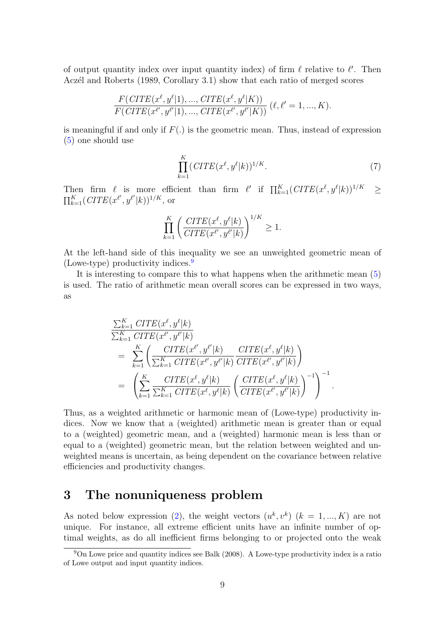of output quantity index over input quantity index) of firm  $\ell$  relative to  $\ell'$ . Then Aczél and Roberts (1989, Corollary 3.1) show that each ratio of merged scores

$$
\frac{F(CITE(x^{\ell}, y^{\ell}|1), ..., CITE(x^{\ell}, y^{\ell}|K))}{F(CITE(x^{\ell'}, y^{\ell'}|1), ..., CITE(x^{\ell'}, y^{\ell'}|K))} (\ell, \ell' = 1, ..., K).
$$

is meaningful if and only if  $F(.)$  is the geometric mean. Thus, instead of expression [\(5\)](#page-7-1) one should use

$$
\prod_{k=1}^{K} (CITE(x^{\ell}, y^{\ell}|k))^{1/K}.
$$
\n
$$
(7)
$$

Then firm  $\ell$  is more efficient than firm  $\ell'$  if  $\prod_{k=1}^K (CITE(x^{\ell}, y^{\ell}|k))^{1/K} \geq$  $\prod_{k=1}^{K} (CITE(x^{\ell'}, y^{\ell'}|k))^{1/K}$ , or

$$
\prod_{k=1}^K \left( \frac{CITE(x^{\ell}, y^{\ell}|k)}{CITE(x^{\ell'}, y^{\ell'}|k)} \right)^{1/K} \ge 1.
$$

At the left-hand side of this inequality we see an unweighted geometric mean of (Lowe-type) productivity indices.  $9$ 

It is interesting to compare this to what happens when the arithmetic mean [\(5\)](#page-7-1) is used. The ratio of arithmetic mean overall scores can be expressed in two ways, as

$$
\sum_{k=1}^{K} CITE(x^{\ell}, y^{\ell}|k) \n= \sum_{k=1}^{K} CITE(x^{\ell'}, y^{\ell'}|k) \n= \sum_{k=1}^{K} \left( \frac{CITE(x^{\ell'}, y^{\ell'}|k)}{\sum_{k=1}^{K} CITE(x^{\ell'}, y^{\ell'}|k)} \frac{CITE(x^{\ell}, y^{\ell}|k)}{CITE(x^{\ell'}, y^{\ell'}|k)} \right) \n= \left( \sum_{k=1}^{K} \frac{CITE(x^{\ell}, y^{\ell}|k)}{\sum_{k=1}^{K} CITE(x^{\ell}, y^{\ell}|k)} \left( \frac{CITE(x^{\ell}, y^{\ell}|k)}{CITE(x^{\ell'}, y^{\ell'}|k)} \right)^{-1} \right)^{-1}.
$$

Thus, as a weighted arithmetic or harmonic mean of (Lowe-type) productivity indices. Now we know that a (weighted) arithmetic mean is greater than or equal to a (weighted) geometric mean, and a (weighted) harmonic mean is less than or equal to a (weighted) geometric mean, but the relation between weighted and unweighted means is uncertain, as being dependent on the covariance between relative efficiencies and productivity changes.

# <span id="page-8-1"></span>3 The nonuniqueness problem

As noted below expression [\(2\)](#page-6-2), the weight vectors  $(u^k, v^k)$   $(k = 1, ..., K)$  are not unique. For instance, all extreme efficient units have an infinite number of optimal weights, as do all inefficient firms belonging to or projected onto the weak

<span id="page-8-0"></span><sup>9</sup>On Lowe price and quantity indices see Balk (2008). A Lowe-type productivity index is a ratio of Lowe output and input quantity indices.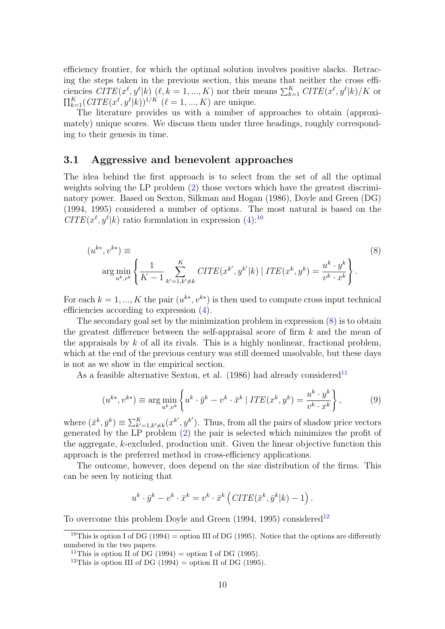efficiency frontier, for which the optimal solution involves positive slacks. Retracing the steps taken in the previous section, this means that neither the cross efficiencies  $CITE(x^{\ell}, y^{\ell}|k)$  ( $\ell, k = 1, ..., K$ ) nor their means  $\sum_{k=1}^{K} CITE(x^{\ell}, y^{\ell}|k)/K$  or  $\prod_{k=1}^{K} (CITE(x^{\ell}, y^{\ell}|k))^{1/K}$   $(\ell = 1, ..., K)$  are unique.

The literature provides us with a number of approaches to obtain (approximately) unique scores. We discuss them under three headings, roughly corresponding to their genesis in time.

### 3.1 Aggressive and benevolent approaches

The idea behind the first approach is to select from the set of all the optimal weights solving the LP problem [\(2\)](#page-6-2) those vectors which have the greatest discriminatory power. Based on Sexton, Silkman and Hogan (1986), Doyle and Green (DG) (1994, 1995) considered a number of options. The most natural is based on the  $CITE(x^{\ell}, y^{\ell}|k)$  ratio formulation in expression [\(4\)](#page-6-3):<sup>[10](#page-9-0)</sup>

<span id="page-9-1"></span>
$$
(u^{k*}, v^{k*}) \equiv \arg \min_{u^k, v^k} \left\{ \frac{1}{K-1} \sum_{k'=1, k'\neq k}^K CITE(x^{k'}, y^{k'}|k) | \ ITE(x^k, y^k) = \frac{u^k \cdot y^k}{v^k \cdot x^k} \right\}.
$$
 (8)

For each  $k = 1, ..., K$  the pair  $(u^{k*}, v^{k*})$  is then used to compute cross input technical efficiencies according to expression [\(4\)](#page-6-3).

The secondary goal set by the minimization problem in expression  $(8)$  is to obtain the greatest difference between the self-appraisal score of firm  $k$  and the mean of the appraisals by  $k$  of all its rivals. This is a highly nonlinear, fractional problem, which at the end of the previous century was still deemed unsolvable, but these days is not as we show in the empirical section.

As a feasible alternative Sexton, et al. (1986) had already considered<sup>[11](#page-9-2)</sup>

<span id="page-9-4"></span>
$$
(u^{k*}, v^{k*}) \equiv \arg\min_{u^k, v^k} \left\{ u^k \cdot \bar{y}^k - v^k \cdot \bar{x}^k \mid ITE(x^k, y^k) = \frac{u^k \cdot y^k}{v^k \cdot x^k} \right\},\tag{9}
$$

where  $(\bar{x}^k, \bar{y}^k) \equiv \sum_{k'=1, k'\neq k}^K (x^{k'}, y^{k'})$ . Thus, from all the pairs of shadow price vectors generated by the LP problem [\(2\)](#page-6-2) the pair is selected which minimizes the profit of the aggregate, k-excluded, production unit. Given the linear objective function this approach is the preferred method in cross-efficiency applications.

The outcome, however, does depend on the size distribution of the firms. This can be seen by noticing that

$$
u^{k} \cdot \bar{y}^{k} - v^{k} \cdot \bar{x}^{k} = v^{k} \cdot \bar{x}^{k} \left( CITE(\bar{x}^{k}, \bar{y}^{k} | k) - 1 \right).
$$

To overcome this problem Doyle and Green  $(1994, 1995)$  considered<sup>[12](#page-9-3)</sup>

<span id="page-9-0"></span><sup>&</sup>lt;sup>10</sup>This is option I of DG (1994) = option III of DG (1995). Notice that the options are differently numbered in the two papers.

<span id="page-9-2"></span><sup>&</sup>lt;sup>11</sup>This is option II of DG (1994) = option I of DG (1995).

<span id="page-9-3"></span><sup>&</sup>lt;sup>12</sup>This is option III of DG (1994) = option II of DG (1995).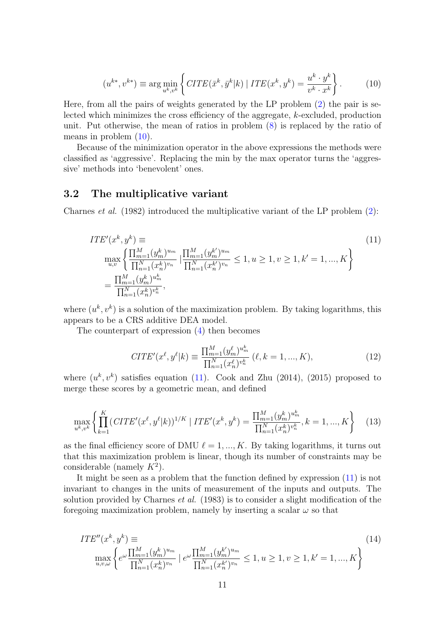<span id="page-10-0"></span>
$$
(u^{k*}, v^{k*}) \equiv \arg\min_{u^k, v^k} \left\{ CITE(\bar{x}^k, \bar{y}^k | k) | ITE(x^k, y^k) = \frac{u^k \cdot y^k}{v^k \cdot x^k} \right\}.
$$
 (10)

Here, from all the pairs of weights generated by the LP problem [\(2\)](#page-6-2) the pair is selected which minimizes the cross efficiency of the aggregate, k-excluded, production unit. Put otherwise, the mean of ratios in problem [\(8\)](#page-9-1) is replaced by the ratio of means in problem [\(10\)](#page-10-0).

Because of the minimization operator in the above expressions the methods were classified as 'aggressive'. Replacing the min by the max operator turns the 'aggressive' methods into 'benevolent' ones.

### 3.2 The multiplicative variant

Charnes et al. (1982) introduced the multiplicative variant of the LP problem [\(2\)](#page-6-2):

<span id="page-10-1"></span>
$$
ITE'(x^k, y^k) \equiv
$$
\n
$$
\max_{u,v} \left\{ \frac{\prod_{m=1}^M (y_m^k)^{u_m}}{\prod_{n=1}^N (x_n^k)^{v_n}} \mid \frac{\prod_{m=1}^M (y_m^{k'})^{u_m}}{\prod_{n=1}^N (x_n^{k'})^{v_n}} \le 1, u \ge 1, v \ge 1, k' = 1, ..., K \right\}
$$
\n
$$
= \frac{\prod_{m=1}^M (y_m^k)^{u_m^k}}{\prod_{n=1}^N (x_n^k)^{v_n^k}},
$$
\n(11)

where  $(u^k, v^k)$  is a solution of the maximization problem. By taking logarithms, this appears to be a CRS additive DEA model.

The counterpart of expression [\(4\)](#page-6-3) then becomes

$$
CITE'(x^{\ell}, y^{\ell}|k) \equiv \frac{\prod_{m=1}^{M} (y_m^{\ell})^{u_m^k}}{\prod_{n=1}^{N} (x_n^{\ell})^{v_n^k}} (\ell, k = 1, ..., K),
$$
\n(12)

where  $(u^k, v^k)$  satisfies equation [\(11\)](#page-10-1). Cook and Zhu (2014), (2015) proposed to merge these scores by a geometric mean, and defined

<span id="page-10-2"></span>
$$
\max_{u^k, v^k} \left\{ \prod_{k=1}^K (CITE'(x^\ell, y^\ell | k))^{1/K} \mid ITE'(x^k, y^k) = \frac{\prod_{m=1}^M (y_m^k)^{u_m^k}}{\prod_{n=1}^N (x_n^k)^{v_n^k}}, k = 1, ..., K \right\}
$$
(13)

as the final efficiency score of DMU  $\ell = 1, ..., K$ . By taking logarithms, it turns out that this maximization problem is linear, though its number of constraints may be considerable (namely  $K^2$ ).

It might be seen as a problem that the function defined by expression [\(11\)](#page-10-1) is not invariant to changes in the units of measurement of the inputs and outputs. The solution provided by Charnes *et al.* (1983) is to consider a slight modification of the foregoing maximization problem, namely by inserting a scalar  $\omega$  so that

$$
ITE''(x^k, y^k) \equiv \max_{\substack{u,v,\omega\\u,v,\omega}} \left\{ e^{\omega} \frac{\prod_{m=1}^M (y_m^k)^{u_m}}{\prod_{n=1}^N (x_n^k)^{v_n}} \mid e^{\omega} \frac{\prod_{m=1}^M (y_m^{k'})^{u_m}}{\prod_{n=1}^N (x_n^{k'})^{v_n}} \le 1, u \ge 1, v \ge 1, k' = 1, ..., K \right\}
$$
\n(14)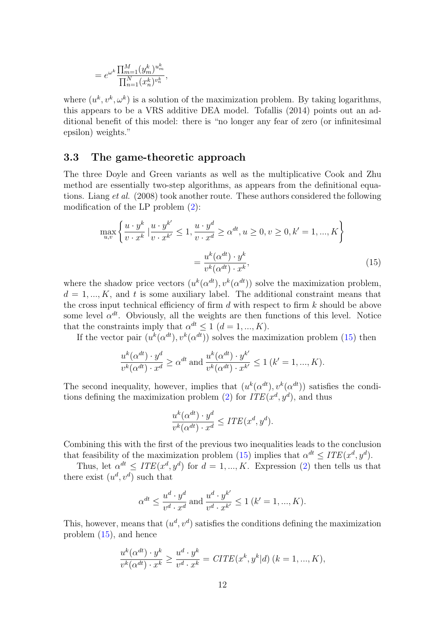$$
= e^{\omega^k} \frac{\prod_{m=1}^M (y_m^k)^{u_m^k}}{\prod_{n=1}^N (x_n^k)^{v_n^k}},
$$

where  $(u^k, v^k, \omega^k)$  is a solution of the maximization problem. By taking logarithms, this appears to be a VRS additive DEA model. Tofallis (2014) points out an additional benefit of this model: there is "no longer any fear of zero (or infinitesimal epsilon) weights."

### 3.3 The game-theoretic approach

The three Doyle and Green variants as well as the multiplicative Cook and Zhu method are essentially two-step algorithms, as appears from the definitional equations. Liang et al. (2008) took another route. These authors considered the following modification of the LP problem [\(2\)](#page-6-2):

<span id="page-11-0"></span>
$$
\max_{u,v} \left\{ \frac{u \cdot y^k}{v \cdot x^k} \mid \frac{u \cdot y^{k'}}{v \cdot x^{k'}} \le 1, \frac{u \cdot y^d}{v \cdot x^d} \ge \alpha^{dt}, u \ge 0, v \ge 0, k' = 1, ..., K \right\}
$$

$$
= \frac{u^k(\alpha^{dt}) \cdot y^k}{v^k(\alpha^{dt}) \cdot x^k},
$$
(15)

where the shadow price vectors  $(u^k(\alpha^{dt}), v^k(\alpha^{dt}))$  solve the maximization problem,  $d = 1, ..., K$ , and t is some auxiliary label. The additional constraint means that the cross input technical efficiency of firm  $d$  with respect to firm  $k$  should be above some level  $\alpha^{dt}$ . Obviously, all the weights are then functions of this level. Notice that the constraints imply that  $\alpha^{dt} \leq 1$   $(d = 1, ..., K)$ .

If the vector pair  $(u^k(\alpha^{dt}), v^k(\alpha^{dt}))$  solves the maximization problem [\(15\)](#page-11-0) then

$$
\frac{u^k(\alpha^{dt}) \cdot y^d}{v^k(\alpha^{dt}) \cdot x^d} \ge \alpha^{dt} \text{ and } \frac{u^k(\alpha^{dt}) \cdot y^{k'}}{v^k(\alpha^{dt}) \cdot x^{k'}} \le 1 \ (k'=1, ..., K).
$$

The second inequality, however, implies that  $(u^k(\alpha^{dt}), v^k(\alpha^{dt}))$  satisfies the condi-tions defining the maximization problem [\(2\)](#page-6-2) for  $ITE(x^d, y^d)$ , and thus

$$
\frac{u^k(\alpha^{dt}) \cdot y^d}{v^k(\alpha^{dt}) \cdot x^d} \leq ITE(x^d, y^d).
$$

Combining this with the first of the previous two inequalities leads to the conclusion that feasibility of the maximization problem [\(15\)](#page-11-0) implies that  $\alpha^{dt} \leq ITE(x^d, y^d)$ .

Thus, let  $\alpha^{dt} \leq ITE(x^d, y^d)$  for  $d = 1, ..., K$ . Expression [\(2\)](#page-6-2) then tells us that there exist  $(u^d, v^d)$  such that

$$
\alpha^{dt} \le \frac{u^d \cdot y^d}{v^d \cdot x^d}
$$
 and 
$$
\frac{u^d \cdot y^{k'}}{v^d \cdot x^{k'}} \le 1 \ (k' = 1, ..., K).
$$

This, however, means that  $(u^d, v^d)$  satisfies the conditions defining the maximization problem [\(15\)](#page-11-0), and hence

$$
\frac{u^k(\alpha^{dt}) \cdot y^k}{v^k(\alpha^{dt}) \cdot x^k} \ge \frac{u^d \cdot y^k}{v^d \cdot x^k} = CITE(x^k, y^k | d) \ (k = 1, ..., K),
$$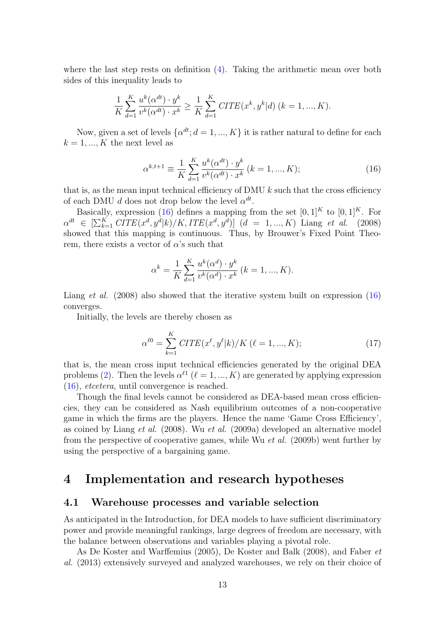where the last step rests on definition  $(4)$ . Taking the arithmetic mean over both sides of this inequality leads to

$$
\frac{1}{K} \sum_{d=1}^{K} \frac{u^{k}(\alpha^{dt}) \cdot y^{k}}{v^{k}(\alpha^{dt}) \cdot x^{k}} \ge \frac{1}{K} \sum_{d=1}^{K} CITE(x^{k}, y^{k}|d) \quad (k = 1, ..., K).
$$

Now, given a set of levels  $\{\alpha^{dt}; d = 1, ..., K\}$  it is rather natural to define for each  $k = 1, ..., K$  the next level as

<span id="page-12-0"></span>
$$
\alpha^{k,t+1} \equiv \frac{1}{K} \sum_{d=1}^{K} \frac{u^k(\alpha^{dt}) \cdot y^k}{v^k(\alpha^{dt}) \cdot x^k} \ (k = 1, ..., K); \tag{16}
$$

that is, as the mean input technical efficiency of DMU  $k$  such that the cross efficiency of each DMU d does not drop below the level  $\alpha^{dt}$ .

Basically, expression [\(16\)](#page-12-0) defines a mapping from the set  $[0, 1]^K$  to  $[0, 1]^K$ . For  $\alpha^{dt} \in \left[\sum_{k=1}^{K} CITE(x^d, y^d|k)/K,ITE(x^d, y^d)\right]$   $(d = 1, ..., K)$  Liang et al. (2008) showed that this mapping is continuous. Thus, by Brouwer's Fixed Point Theorem, there exists a vector of  $\alpha$ 's such that

$$
\alpha^{k} = \frac{1}{K} \sum_{d=1}^{K} \frac{u^{k}(\alpha^{d}) \cdot y^{k}}{v^{k}(\alpha^{d}) \cdot x^{k}} (k = 1, ..., K).
$$

Liang *et al.* (2008) also showed that the iterative system built on expression [\(16\)](#page-12-0) converges.

Initially, the levels are thereby chosen as

<span id="page-12-1"></span>
$$
\alpha^{\ell 0} = \sum_{k=1}^{K} CITE(x^{\ell}, y^{\ell}|k) / K (\ell = 1, ..., K); \qquad (17)
$$

that is, the mean cross input technical efficiencies generated by the original DEA problems [\(2\)](#page-6-2). Then the levels  $\alpha^{\ell 1}$  ( $\ell = 1, ..., K$ ) are generated by applying expression [\(16\)](#page-12-0), etcetera, until convergence is reached.

Though the final levels cannot be considered as DEA-based mean cross efficiencies, they can be considered as Nash equilibrium outcomes of a non-cooperative game in which the firms are the players. Hence the name 'Game Cross Efficiency', as coined by Liang et al. (2008). Wu et al. (2009a) developed an alternative model from the perspective of cooperative games, while Wu et al. (2009b) went further by using the perspective of a bargaining game.

## 4 Implementation and research hypotheses

### 4.1 Warehouse processes and variable selection

As anticipated in the Introduction, for DEA models to have sufficient discriminatory power and provide meaningful rankings, large degrees of freedom are necessary, with the balance between observations and variables playing a pivotal role.

As De Koster and Warffemius (2005), De Koster and Balk (2008), and Faber et al. (2013) extensively surveyed and analyzed warehouses, we rely on their choice of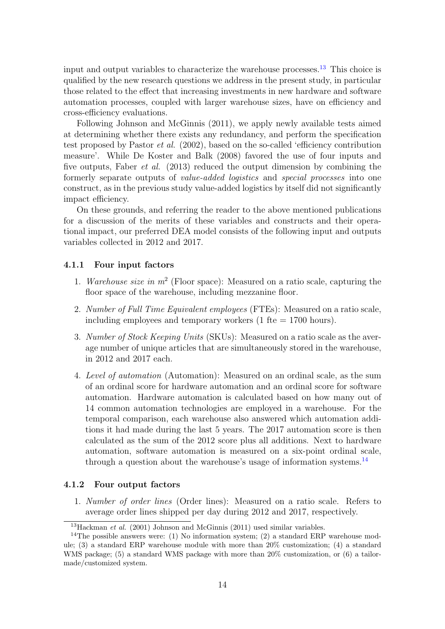input and output variables to characterize the warehouse processes.<sup>[13](#page-13-0)</sup> This choice is qualified by the new research questions we address in the present study, in particular those related to the effect that increasing investments in new hardware and software automation processes, coupled with larger warehouse sizes, have on efficiency and cross-efficiency evaluations.

Following Johnson and McGinnis (2011), we apply newly available tests aimed at determining whether there exists any redundancy, and perform the specification test proposed by Pastor et al. (2002), based on the so-called 'efficiency contribution measure'. While De Koster and Balk (2008) favored the use of four inputs and five outputs, Faber et al. (2013) reduced the output dimension by combining the formerly separate outputs of *value-added logistics* and *special processes* into one construct, as in the previous study value-added logistics by itself did not significantly impact efficiency.

On these grounds, and referring the reader to the above mentioned publications for a discussion of the merits of these variables and constructs and their operational impact, our preferred DEA model consists of the following input and outputs variables collected in 2012 and 2017.

### 4.1.1 Four input factors

- 1. Warehouse size in  $m^2$  (Floor space): Measured on a ratio scale, capturing the floor space of the warehouse, including mezzanine floor.
- 2. Number of Full Time Equivalent employees (FTEs): Measured on a ratio scale, including employees and temporary workers  $(1 \text{fte} = 1700 \text{ hours}).$
- 3. Number of Stock Keeping Units (SKUs): Measured on a ratio scale as the average number of unique articles that are simultaneously stored in the warehouse, in 2012 and 2017 each.
- 4. Level of automation (Automation): Measured on an ordinal scale, as the sum of an ordinal score for hardware automation and an ordinal score for software automation. Hardware automation is calculated based on how many out of 14 common automation technologies are employed in a warehouse. For the temporal comparison, each warehouse also answered which automation additions it had made during the last 5 years. The 2017 automation score is then calculated as the sum of the 2012 score plus all additions. Next to hardware automation, software automation is measured on a six-point ordinal scale, through a question about the warehouse's usage of information systems.[14](#page-13-1)

### 4.1.2 Four output factors

1. Number of order lines (Order lines): Measured on a ratio scale. Refers to average order lines shipped per day during 2012 and 2017, respectively.

<span id="page-13-1"></span><span id="page-13-0"></span> $13$ Hackman et al. (2001) Johnson and McGinnis (2011) used similar variables.

<sup>&</sup>lt;sup>14</sup>The possible answers were: (1) No information system; (2) a standard ERP warehouse module; (3) a standard ERP warehouse module with more than 20% customization; (4) a standard WMS package; (5) a standard WMS package with more than 20% customization, or (6) a tailormade/customized system.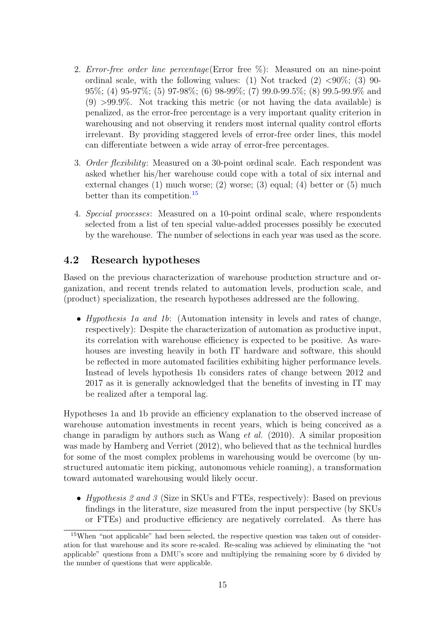- 2. Error-free order line percentage(Error free  $\%$ ): Measured on an nine-point ordinal scale, with the following values: (1) Not tracked  $(2)$  <90%; (3) 90-95%; (4) 95-97%; (5) 97-98%; (6) 98-99%; (7) 99.0-99.5%; (8) 99.5-99.9% and  $(9) >99.9\%$ . Not tracking this metric (or not having the data available) is penalized, as the error-free percentage is a very important quality criterion in warehousing and not observing it renders most internal quality control efforts irrelevant. By providing staggered levels of error-free order lines, this model can differentiate between a wide array of error-free percentages.
- 3. *Order flexibility*: Measured on a 30-point ordinal scale. Each respondent was asked whether his/her warehouse could cope with a total of six internal and external changes (1) much worse; (2) worse; (3) equal; (4) better or (5) much better than its competition.[15](#page-14-0)
- 4. Special processes: Measured on a 10-point ordinal scale, where respondents selected from a list of ten special value-added processes possibly be executed by the warehouse. The number of selections in each year was used as the score.

### <span id="page-14-1"></span>4.2 Research hypotheses

Based on the previous characterization of warehouse production structure and organization, and recent trends related to automation levels, production scale, and (product) specialization, the research hypotheses addressed are the following.

• *Hypothesis 1a and 1b*: (Automation intensity in levels and rates of change, respectively): Despite the characterization of automation as productive input, its correlation with warehouse efficiency is expected to be positive. As warehouses are investing heavily in both IT hardware and software, this should be reflected in more automated facilities exhibiting higher performance levels. Instead of levels hypothesis 1b considers rates of change between 2012 and 2017 as it is generally acknowledged that the benefits of investing in IT may be realized after a temporal lag.

Hypotheses 1a and 1b provide an efficiency explanation to the observed increase of warehouse automation investments in recent years, which is being conceived as a change in paradigm by authors such as Wang et al. (2010). A similar proposition was made by Hamberg and Verriet (2012), who believed that as the technical hurdles for some of the most complex problems in warehousing would be overcome (by unstructured automatic item picking, autonomous vehicle roaming), a transformation toward automated warehousing would likely occur.

• Hypothesis 2 and 3 (Size in SKUs and FTEs, respectively): Based on previous findings in the literature, size measured from the input perspective (by SKUs or FTEs) and productive efficiency are negatively correlated. As there has

<span id="page-14-0"></span><sup>&</sup>lt;sup>15</sup>When "not applicable" had been selected, the respective question was taken out of consideration for that warehouse and its score re-scaled. Re-scaling was achieved by eliminating the "not applicable" questions from a DMU's score and multiplying the remaining score by 6 divided by the number of questions that were applicable.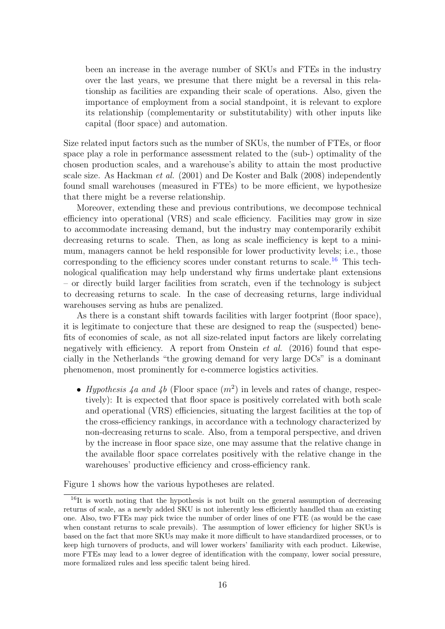been an increase in the average number of SKUs and FTEs in the industry over the last years, we presume that there might be a reversal in this relationship as facilities are expanding their scale of operations. Also, given the importance of employment from a social standpoint, it is relevant to explore its relationship (complementarity or substitutability) with other inputs like capital (floor space) and automation.

Size related input factors such as the number of SKUs, the number of FTEs, or floor space play a role in performance assessment related to the (sub-) optimality of the chosen production scales, and a warehouse's ability to attain the most productive scale size. As Hackman *et al.* (2001) and De Koster and Balk (2008) independently found small warehouses (measured in FTEs) to be more efficient, we hypothesize that there might be a reverse relationship.

Moreover, extending these and previous contributions, we decompose technical efficiency into operational (VRS) and scale efficiency. Facilities may grow in size to accommodate increasing demand, but the industry may contemporarily exhibit decreasing returns to scale. Then, as long as scale inefficiency is kept to a minimum, managers cannot be held responsible for lower productivity levels; i.e., those corresponding to the efficiency scores under constant returns to scale.<sup>[16](#page-15-0)</sup> This technological qualification may help understand why firms undertake plant extensions – or directly build larger facilities from scratch, even if the technology is subject to decreasing returns to scale. In the case of decreasing returns, large individual warehouses serving as hubs are penalized.

As there is a constant shift towards facilities with larger footprint (floor space), it is legitimate to conjecture that these are designed to reap the (suspected) benefits of economies of scale, as not all size-related input factors are likely correlating negatively with efficiency. A report from Onstein *et al.* (2016) found that especially in the Netherlands "the growing demand for very large DCs" is a dominant phenomenon, most prominently for e-commerce logistics activities.

• Hypothesis 4a and 4b (Floor space  $(m^2)$  in levels and rates of change, respectively): It is expected that floor space is positively correlated with both scale and operational (VRS) efficiencies, situating the largest facilities at the top of the cross-efficiency rankings, in accordance with a technology characterized by non-decreasing returns to scale. Also, from a temporal perspective, and driven by the increase in floor space size, one may assume that the relative change in the available floor space correlates positively with the relative change in the warehouses' productive efficiency and cross-efficiency rank.

Figure 1 shows how the various hypotheses are related.

<span id="page-15-0"></span> $16$ It is worth noting that the hypothesis is not built on the general assumption of decreasing returns of scale, as a newly added SKU is not inherently less efficiently handled than an existing one. Also, two FTEs may pick twice the number of order lines of one FTE (as would be the case when constant returns to scale prevails). The assumption of lower efficiency for higher SKUs is based on the fact that more SKUs may make it more difficult to have standardized processes, or to keep high turnovers of products, and will lower workers' familiarity with each product. Likewise, more FTEs may lead to a lower degree of identification with the company, lower social pressure, more formalized rules and less specific talent being hired.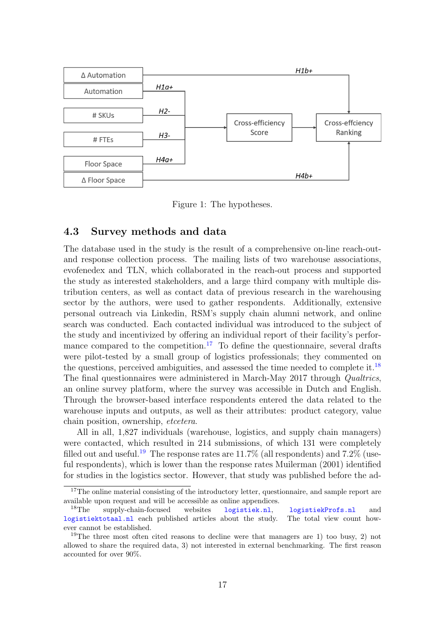

Figure 1: The hypotheses.

### 4.3 Survey methods and data

The database used in the study is the result of a comprehensive on-line reach-outand response collection process. The mailing lists of two warehouse associations, evofenedex and TLN, which collaborated in the reach-out process and supported the study as interested stakeholders, and a large third company with multiple distribution centers, as well as contact data of previous research in the warehousing sector by the authors, were used to gather respondents. Additionally, extensive personal outreach via Linkedin, RSM's supply chain alumni network, and online search was conducted. Each contacted individual was introduced to the subject of the study and incentivized by offering an individual report of their facility's perfor-mance compared to the competition.<sup>[17](#page-16-0)</sup> To define the questionnaire, several drafts were pilot-tested by a small group of logistics professionals; they commented on the questions, perceived ambiguities, and assessed the time needed to complete it.[18](#page-16-1) The final questionnaires were administered in March-May 2017 through Qualtrics, an online survey platform, where the survey was accessible in Dutch and English. Through the browser-based interface respondents entered the data related to the warehouse inputs and outputs, as well as their attributes: product category, value chain position, ownership, etcetera.

All in all, 1,827 individuals (warehouse, logistics, and supply chain managers) were contacted, which resulted in 214 submissions, of which 131 were completely filled out and useful.<sup>[19](#page-16-2)</sup> The response rates are  $11.7\%$  (all respondents) and  $7.2\%$  (useful respondents), which is lower than the response rates Muilerman (2001) identified for studies in the logistics sector. However, that study was published before the ad-

<span id="page-16-0"></span><sup>&</sup>lt;sup>17</sup>The online material consisting of the introductory letter, questionnaire, and sample report are available upon request and will be accessible as online appendices.

<span id="page-16-1"></span>supply-chain-focused websites <logistiek.nl>, <logistiekProfs.nl> and<br>totaal.nl each published articles about the study. The total view count how<logistiektotaal.nl> each published articles about the study. ever cannot be established.

<span id="page-16-2"></span><sup>&</sup>lt;sup>19</sup>The three most often cited reasons to decline were that managers are 1) too busy, 2) not allowed to share the required data, 3) not interested in external benchmarking. The first reason accounted for over 90%.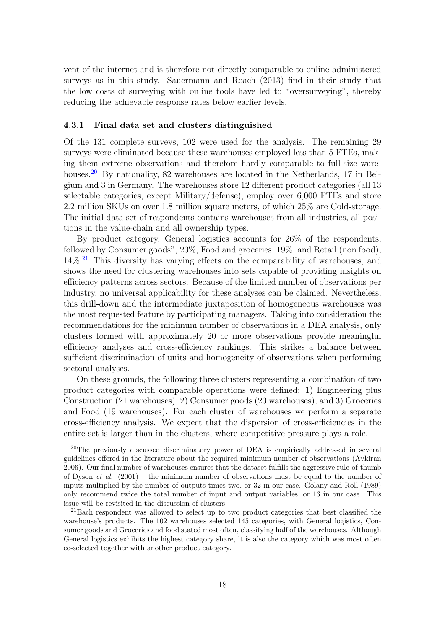vent of the internet and is therefore not directly comparable to online-administered surveys as in this study. Sauermann and Roach (2013) find in their study that the low costs of surveying with online tools have led to "oversurveying", thereby reducing the achievable response rates below earlier levels.

### 4.3.1 Final data set and clusters distinguished

Of the 131 complete surveys, 102 were used for the analysis. The remaining 29 surveys were eliminated because these warehouses employed less than 5 FTEs, making them extreme observations and therefore hardly comparable to full-size ware-houses.<sup>[20](#page-17-0)</sup> By nationality, 82 warehouses are located in the Netherlands, 17 in Belgium and 3 in Germany. The warehouses store 12 different product categories (all 13 selectable categories, except Military/defense), employ over 6,000 FTEs and store 2.2 million SKUs on over 1.8 million square meters, of which 25% are Cold-storage. The initial data set of respondents contains warehouses from all industries, all positions in the value-chain and all ownership types.

By product category, General logistics accounts for 26% of the respondents, followed by Consumer goods", 20%, Food and groceries, 19%, and Retail (non food),  $14\%$ <sup>[21](#page-17-1)</sup> This diversity has varying effects on the comparability of warehouses, and shows the need for clustering warehouses into sets capable of providing insights on efficiency patterns across sectors. Because of the limited number of observations per industry, no universal applicability for these analyses can be claimed. Nevertheless, this drill-down and the intermediate juxtaposition of homogeneous warehouses was the most requested feature by participating managers. Taking into consideration the recommendations for the minimum number of observations in a DEA analysis, only clusters formed with approximately 20 or more observations provide meaningful efficiency analyses and cross-efficiency rankings. This strikes a balance between sufficient discrimination of units and homogeneity of observations when performing sectoral analyses.

On these grounds, the following three clusters representing a combination of two product categories with comparable operations were defined: 1) Engineering plus Construction (21 warehouses); 2) Consumer goods (20 warehouses); and 3) Groceries and Food (19 warehouses). For each cluster of warehouses we perform a separate cross-efficiency analysis. We expect that the dispersion of cross-efficiencies in the entire set is larger than in the clusters, where competitive pressure plays a role.

<span id="page-17-0"></span><sup>&</sup>lt;sup>20</sup>The previously discussed discriminatory power of DEA is empirically addressed in several guidelines offered in the literature about the required minimum number of observations (Avkiran 2006). Our final number of warehouses ensures that the dataset fulfills the aggressive rule-of-thumb of Dyson *et al.* (2001) – the minimum number of observations must be equal to the number of inputs multiplied by the number of outputs times two, or 32 in our case. Golany and Roll (1989) only recommend twice the total number of input and output variables, or 16 in our case. This issue will be revisited in the discussion of clusters.

<span id="page-17-1"></span> $21$ Each respondent was allowed to select up to two product categories that best classified the warehouse's products. The 102 warehouses selected 145 categories, with General logistics, Consumer goods and Groceries and food stated most often, classifying half of the warehouses. Although General logistics exhibits the highest category share, it is also the category which was most often co-selected together with another product category.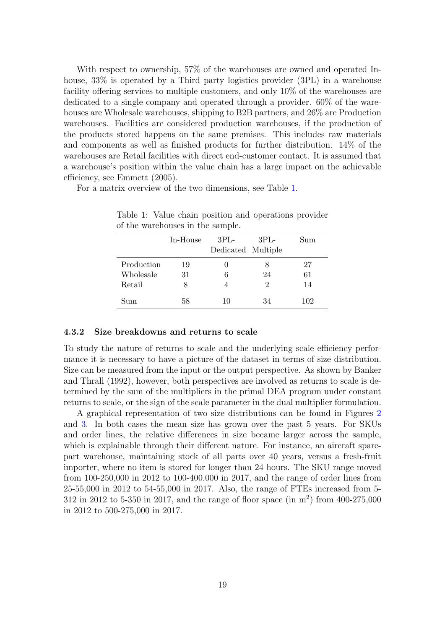With respect to ownership, 57% of the warehouses are owned and operated Inhouse,  $33\%$  is operated by a Third party logistics provider (3PL) in a warehouse facility offering services to multiple customers, and only 10% of the warehouses are dedicated to a single company and operated through a provider. 60% of the warehouses are Wholesale warehouses, shipping to B2B partners, and 26% are Production warehouses. Facilities are considered production warehouses, if the production of the products stored happens on the same premises. This includes raw materials and components as well as finished products for further distribution. 14% of the warehouses are Retail facilities with direct end-customer contact. It is assumed that a warehouse's position within the value chain has a large impact on the achievable efficiency, see Emmett (2005).

For a matrix overview of the two dimensions, see Table [1.](#page-18-0)

|            | In-House | $3PL-$<br>Dedicated Multiple | $3PL-$ | Sum |
|------------|----------|------------------------------|--------|-----|
| Production | 19       |                              |        | 27  |
| Wholesale  | 31       | 6                            | 24     | 61  |
| Retail     | 8        |                              | 2      | 14  |
| Sum        | 58       | 10                           | 34     | 102 |

<span id="page-18-0"></span>Table 1: Value chain position and operations provider of the warehouses in the sample.

### 4.3.2 Size breakdowns and returns to scale

To study the nature of returns to scale and the underlying scale efficiency performance it is necessary to have a picture of the dataset in terms of size distribution. Size can be measured from the input or the output perspective. As shown by Banker and Thrall (1992), however, both perspectives are involved as returns to scale is determined by the sum of the multipliers in the primal DEA program under constant returns to scale, or the sign of the scale parameter in the dual multiplier formulation.

A graphical representation of two size distributions can be found in Figures [2](#page-19-0) and [3.](#page-19-1) In both cases the mean size has grown over the past 5 years. For SKUs and order lines, the relative differences in size became larger across the sample, which is explainable through their different nature. For instance, an aircraft sparepart warehouse, maintaining stock of all parts over 40 years, versus a fresh-fruit importer, where no item is stored for longer than 24 hours. The SKU range moved from 100-250,000 in 2012 to 100-400,000 in 2017, and the range of order lines from 25-55,000 in 2012 to 54-55,000 in 2017. Also, the range of FTEs increased from 5- 312 in 2012 to 5-350 in 2017, and the range of floor space (in m<sup>2</sup> ) from 400-275,000 in 2012 to 500-275,000 in 2017.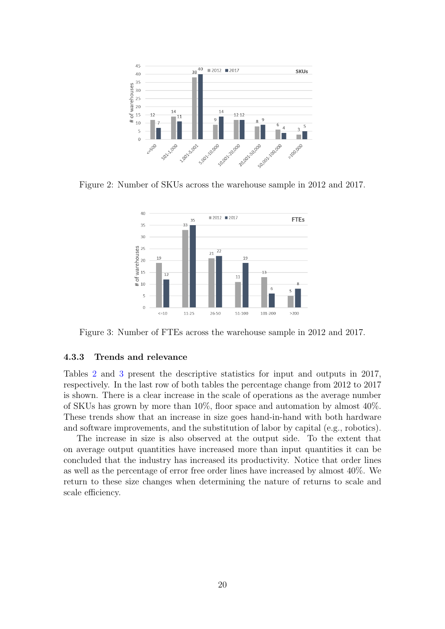

Figure 2: Number of SKUs across the warehouse sample in 2012 and 2017.

<span id="page-19-0"></span>

<span id="page-19-1"></span>Figure 3: Number of FTEs across the warehouse sample in 2012 and 2017.

### 4.3.3 Trends and relevance

Tables [2](#page-20-0) and [3](#page-20-1) present the descriptive statistics for input and outputs in 2017, respectively. In the last row of both tables the percentage change from 2012 to 2017 is shown. There is a clear increase in the scale of operations as the average number of SKUs has grown by more than 10%, floor space and automation by almost 40%. These trends show that an increase in size goes hand-in-hand with both hardware and software improvements, and the substitution of labor by capital (e.g., robotics).

The increase in size is also observed at the output side. To the extent that on average output quantities have increased more than input quantities it can be concluded that the industry has increased its productivity. Notice that order lines as well as the percentage of error free order lines have increased by almost 40%. We return to these size changes when determining the nature of returns to scale and scale efficiency.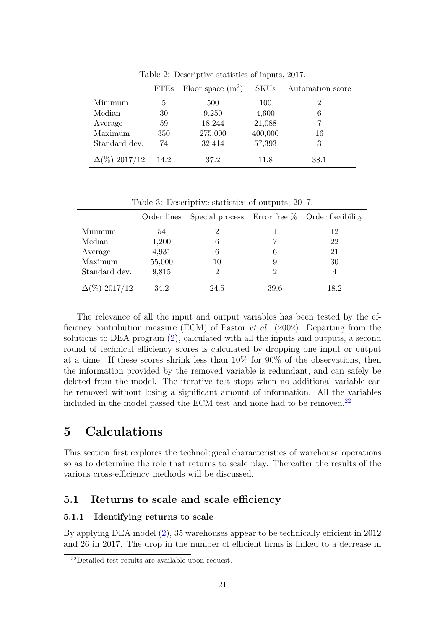|                      | <b>FTEs</b> | Floor space $(m^2)$ | <b>SKUs</b> | Automation score |
|----------------------|-------------|---------------------|-------------|------------------|
| Minimum              | 5           | 500                 | 100         |                  |
| Median               | 30          | 9,250               | 4,600       | 6                |
| Average              | 59          | 18,244              | 21,088      |                  |
| Maximum              | 350         | 275,000             | 400,000     | 16               |
| Standard dev.        | 74          | 32,414              | 57,393      | 3                |
| $\Delta(\%)$ 2017/12 | 14.2        | 37.2                | 11.8        | 38.1             |

<span id="page-20-0"></span>Table 2: Descriptive statistics of inputs, 2017.

<span id="page-20-1"></span>Table 3: Descriptive statistics of outputs, 2017.

|                      | Order lines |      |      | Special process Error free $%$ Order flexibility |
|----------------------|-------------|------|------|--------------------------------------------------|
| Minimum              | 54          |      |      | 12                                               |
| Median               | 1,200       | 6    |      | 22                                               |
| Average              | 4,931       | 6    |      | 21                                               |
| Maximum              | 55,000      | 10   | 9    | 30                                               |
| Standard dev.        | 9,815       |      |      |                                                  |
| $\Delta(\%)$ 2017/12 | 34.2        | 24.5 | 39.6 | 18.2                                             |

The relevance of all the input and output variables has been tested by the efficiency contribution measure (ECM) of Pastor *et al.* (2002). Departing from the solutions to DEA program [\(2\)](#page-6-2), calculated with all the inputs and outputs, a second round of technical efficiency scores is calculated by dropping one input or output at a time. If these scores shrink less than 10% for 90% of the observations, then the information provided by the removed variable is redundant, and can safely be deleted from the model. The iterative test stops when no additional variable can be removed without losing a significant amount of information. All the variables included in the model passed the ECM test and none had to be removed. $^{22}$  $^{22}$  $^{22}$ 

# 5 Calculations

This section first explores the technological characteristics of warehouse operations so as to determine the role that returns to scale play. Thereafter the results of the various cross-efficiency methods will be discussed.

### <span id="page-20-3"></span>5.1 Returns to scale and scale efficiency

### 5.1.1 Identifying returns to scale

By applying DEA model [\(2\)](#page-6-2), 35 warehouses appear to be technically efficient in 2012 and 26 in 2017. The drop in the number of efficient firms is linked to a decrease in

<span id="page-20-2"></span><sup>22</sup>Detailed test results are available upon request.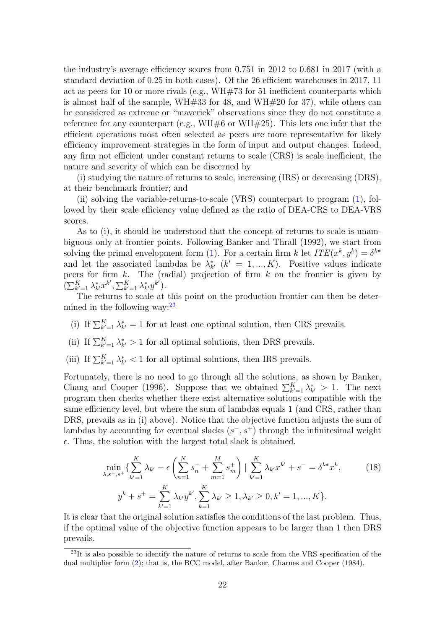the industry's average efficiency scores from 0.751 in 2012 to 0.681 in 2017 (with a standard deviation of 0.25 in both cases). Of the 26 efficient warehouses in 2017, 11 act as peers for 10 or more rivals (e.g., WH#73 for 51 inefficient counterparts which is almost half of the sample, WH#33 for 48, and WH#20 for 37), while others can be considered as extreme or "maverick" observations since they do not constitute a reference for any counterpart (e.g.,  $WH#6$  or  $WH#25$ ). This lets one infer that the efficient operations most often selected as peers are more representative for likely efficiency improvement strategies in the form of input and output changes. Indeed, any firm not efficient under constant returns to scale (CRS) is scale inefficient, the nature and severity of which can be discerned by

(i) studying the nature of returns to scale, increasing (IRS) or decreasing (DRS), at their benchmark frontier; and

(ii) solving the variable-returns-to-scale (VRS) counterpart to program [\(1\)](#page-5-2), followed by their scale efficiency value defined as the ratio of DEA-CRS to DEA-VRS scores.

As to (i), it should be understood that the concept of returns to scale is unambiguous only at frontier points. Following Banker and Thrall (1992), we start from solving the primal envelopment form [\(1\)](#page-5-2). For a certain firm k let  $ITE(x^k, y^k) = \delta^{k*}$ and let the associated lambdas be  $\lambda^*_{k'}$  ( $k' = 1, ..., K$ ). Positive values indicate peers for firm  $k$ . The (radial) projection of firm  $k$  on the frontier is given by  $(\sum_{k'=1}^K \lambda_{k'}^* x^{k'}, \sum_{k'=1}^K \lambda_{k'}^* y^{k'}).$ 

The returns to scale at this point on the production frontier can then be determined in the following way:  $23$ 

(i) If  $\sum_{k'=1}^{K} \lambda_{k'}^{*} = 1$  for at least one optimal solution, then CRS prevails.

(ii) If  $\sum_{k'=1}^{K} \lambda_{k'}^{*} > 1$  for all optimal solutions, then DRS prevails.

(iii) If  $\sum_{k'=1}^K \lambda_{k'}^* < 1$  for all optimal solutions, then IRS prevails.

Fortunately, there is no need to go through all the solutions, as shown by Banker, Chang and Cooper (1996). Suppose that we obtained  $\sum_{k'=1}^{K} \lambda_{k'}^{*} > 1$ . The next program then checks whether there exist alternative solutions compatible with the same efficiency level, but where the sum of lambdas equals 1 (and CRS, rather than DRS, prevails as in (i) above). Notice that the objective function adjusts the sum of lambdas by accounting for eventual slacks  $(s^-, s^+)$  through the infinitesimal weight  $\epsilon$ . Thus, the solution with the largest total slack is obtained.

<span id="page-21-1"></span>
$$
\min_{\lambda, s^-, s^+} \{ \sum_{k'=1}^K \lambda_{k'} - \epsilon \left( \sum_{n=1}^N s_n^- + \sum_{m=1}^M s_m^+ \right) \mid \sum_{k'=1}^K \lambda_{k'} x^{k'} + s^- = \delta^{k*} x^k, \tag{18}
$$
\n
$$
y^k + s^+ = \sum_{k'=1}^K \lambda_{k'} y^{k'}, \sum_{k=1}^K \lambda_{k'} \ge 1, \lambda_{k'} \ge 0, k' = 1, ..., K \}.
$$

It is clear that the original solution satisfies the conditions of the last problem. Thus, if the optimal value of the objective function appears to be larger than 1 then DRS prevails.

<span id="page-21-0"></span><sup>&</sup>lt;sup>23</sup>It is also possible to identify the nature of returns to scale from the VRS specification of the dual multiplier form [\(2\)](#page-6-2); that is, the BCC model, after Banker, Charnes and Cooper (1984).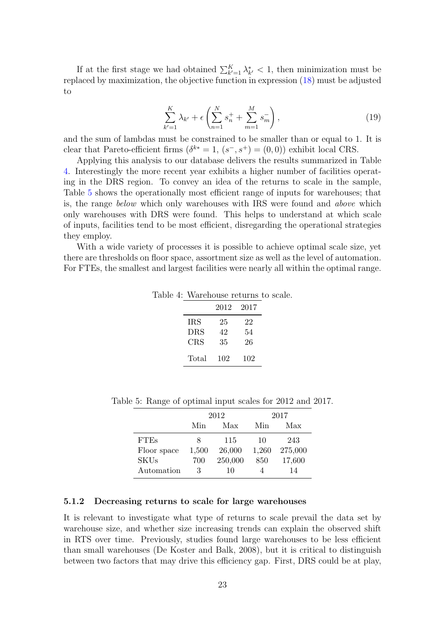If at the first stage we had obtained  $\sum_{k'=1}^K \lambda_{k'}^* < 1$ , then minimization must be replaced by maximization, the objective function in expression [\(18\)](#page-21-1) must be adjusted to

$$
\sum_{k'=1}^{K} \lambda_{k'} + \epsilon \left( \sum_{n=1}^{N} s_n^+ + \sum_{m=1}^{M} s_m^- \right), \tag{19}
$$

and the sum of lambdas must be constrained to be smaller than or equal to 1. It is clear that Pareto-efficient firms  $(\delta^{k*} = 1, (s^-, s^+) = (0, 0))$  exhibit local CRS.

Applying this analysis to our database delivers the results summarized in Table [4.](#page-22-0) Interestingly the more recent year exhibits a higher number of facilities operating in the DRS region. To convey an idea of the returns to scale in the sample, Table [5](#page-22-1) shows the operationally most efficient range of inputs for warehouses; that is, the range below which only warehouses with IRS were found and above which only warehouses with DRS were found. This helps to understand at which scale of inputs, facilities tend to be most efficient, disregarding the operational strategies they employ.

With a wide variety of processes it is possible to achieve optimal scale size, yet there are thresholds on floor space, assortment size as well as the level of automation. For FTEs, the smallest and largest facilities were nearly all within the optimal range.

| Table 4: Warehouse returns to scale. |
|--------------------------------------|
|--------------------------------------|

<span id="page-22-0"></span>

|            | 2012 | 2017 |
|------------|------|------|
| IRS        | 25   | 22   |
| <b>DRS</b> | 42   | 54   |
| CRS        | 35   | 26   |
| Total      | 102  | 102  |

<span id="page-22-1"></span>

|             |       | 2012    | 2017  |         |  |
|-------------|-------|---------|-------|---------|--|
|             | Min   | Max     | Min   | Max     |  |
| <b>FTEs</b> | x     | 115     | 10    | 243     |  |
| Floor space | 1,500 | 26,000  | 1,260 | 275,000 |  |
| <b>SKUs</b> | 700   | 250,000 | 850   | 17,600  |  |
| Automation  | З     | 10      |       | 14      |  |

Table 5: Range of optimal input scales for 2012 and 2017.

### 5.1.2 Decreasing returns to scale for large warehouses

It is relevant to investigate what type of returns to scale prevail the data set by warehouse size, and whether size increasing trends can explain the observed shift in RTS over time. Previously, studies found large warehouses to be less efficient than small warehouses (De Koster and Balk, 2008), but it is critical to distinguish between two factors that may drive this efficiency gap. First, DRS could be at play,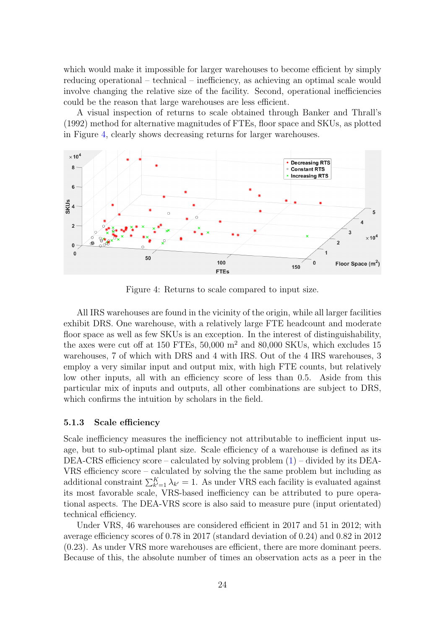which would make it impossible for larger warehouses to become efficient by simply reducing operational – technical – inefficiency, as achieving an optimal scale would involve changing the relative size of the facility. Second, operational inefficiencies could be the reason that large warehouses are less efficient.

A visual inspection of returns to scale obtained through Banker and Thrall's (1992) method for alternative magnitudes of FTEs, floor space and SKUs, as plotted in Figure [4,](#page-23-0) clearly shows decreasing returns for larger warehouses.



<span id="page-23-0"></span>Figure 4: Returns to scale compared to input size.

All IRS warehouses are found in the vicinity of the origin, while all larger facilities exhibit DRS. One warehouse, with a relatively large FTE headcount and moderate floor space as well as few SKUs is an exception. In the interest of distinguishability, the axes were cut off at 150 FTEs,  $50,000$  m<sup>2</sup> and  $80,000$  SKUs, which excludes 15 warehouses, 7 of which with DRS and 4 with IRS. Out of the 4 IRS warehouses, 3 employ a very similar input and output mix, with high FTE counts, but relatively low other inputs, all with an efficiency score of less than 0.5. Aside from this particular mix of inputs and outputs, all other combinations are subject to DRS, which confirms the intuition by scholars in the field.

### 5.1.3 Scale efficiency

Scale inefficiency measures the inefficiency not attributable to inefficient input usage, but to sub-optimal plant size. Scale efficiency of a warehouse is defined as its DEA-CRS efficiency score – calculated by solving problem  $(1)$  – divided by its DEA-VRS efficiency score – calculated by solving the the same problem but including as additional constraint  $\sum_{k'=1}^{K} \lambda_{k'} = 1$ . As under VRS each facility is evaluated against its most favorable scale, VRS-based inefficiency can be attributed to pure operational aspects. The DEA-VRS score is also said to measure pure (input orientated) technical efficiency.

Under VRS, 46 warehouses are considered efficient in 2017 and 51 in 2012; with average efficiency scores of 0.78 in 2017 (standard deviation of 0.24) and 0.82 in 2012 (0.23). As under VRS more warehouses are efficient, there are more dominant peers. Because of this, the absolute number of times an observation acts as a peer in the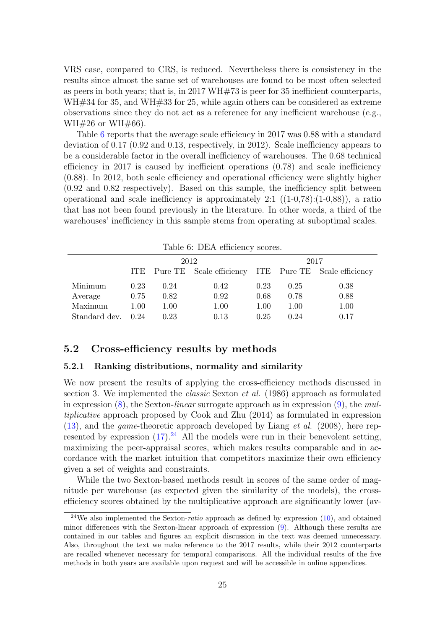VRS case, compared to CRS, is reduced. Nevertheless there is consistency in the results since almost the same set of warehouses are found to be most often selected as peers in both years; that is, in 2017 WH#73 is peer for 35 inefficient counterparts, WH#34 for 35, and WH#33 for 25, while again others can be considered as extreme observations since they do not act as a reference for any inefficient warehouse (e.g.,  $WH#26$  or WH#66).

Table [6](#page-24-0) reports that the average scale efficiency in 2017 was 0.88 with a standard deviation of 0.17 (0.92 and 0.13, respectively, in 2012). Scale inefficiency appears to be a considerable factor in the overall inefficiency of warehouses. The 0.68 technical efficiency in 2017 is caused by inefficient operations (0.78) and scale inefficiency (0.88). In 2012, both scale efficiency and operational efficiency were slightly higher  $(0.92 \text{ and } 0.82 \text{ respectively})$ . Based on this sample, the inefficiency split between operational and scale inefficiency is approximately 2:1  $((1-0.78):(1-0.88))$ , a ratio that has not been found previously in the literature. In other words, a third of the warehouses' inefficiency in this sample stems from operating at suboptimal scales.

| Table 6: DEA efficiency scores. |      |      |                                                           |      |      |      |  |
|---------------------------------|------|------|-----------------------------------------------------------|------|------|------|--|
| 2012                            |      |      |                                                           |      | 2017 |      |  |
|                                 |      |      | ITE Pure TE Scale efficiency ITE Pure TE Scale efficiency |      |      |      |  |
| Minimum                         | 0.23 | 0.24 | 0.42                                                      | 0.23 | 0.25 | 0.38 |  |
| Average                         | 0.75 | 0.82 | 0.92                                                      | 0.68 | 0.78 | 0.88 |  |
| Maximum                         | 1.00 | 1.00 | 1.00                                                      | 1.00 | 1.00 | 1.00 |  |
| Standard dev.                   | 0.24 | 0.23 | 0.13                                                      | 0.25 | 0.24 | 0.17 |  |

<span id="page-24-0"></span>

### 5.2 Cross-efficiency results by methods

### 5.2.1 Ranking distributions, normality and similarity

We now present the results of applying the cross-efficiency methods discussed in section 3. We implemented the classic Sexton et al. (1986) approach as formulated in expression  $(8)$ , the Sexton-linear surrogate approach as in expression  $(9)$ , the multiplicative approach proposed by Cook and Zhu (2014) as formulated in expression  $(13)$ , and the *game*-theoretic approach developed by Liang *et al.* (2008), here represented by expression  $(17)$ .<sup>[24](#page-24-1)</sup> All the models were run in their benevolent setting, maximizing the peer-appraisal scores, which makes results comparable and in accordance with the market intuition that competitors maximize their own efficiency given a set of weights and constraints.

While the two Sexton-based methods result in scores of the same order of magnitude per warehouse (as expected given the similarity of the models), the crossefficiency scores obtained by the multiplicative approach are significantly lower (av-

<span id="page-24-1"></span><sup>&</sup>lt;sup>24</sup>We also implemented the Sexton-*ratio* approach as defined by expression  $(10)$ , and obtained minor differences with the Sexton-linear approach of expression [\(9\)](#page-9-4). Although these results are contained in our tables and figures an explicit discussion in the text was deemed unnecessary. Also, throughout the text we make reference to the 2017 results, while their 2012 counterparts are recalled whenever necessary for temporal comparisons. All the individual results of the five methods in both years are available upon request and will be accessible in online appendices.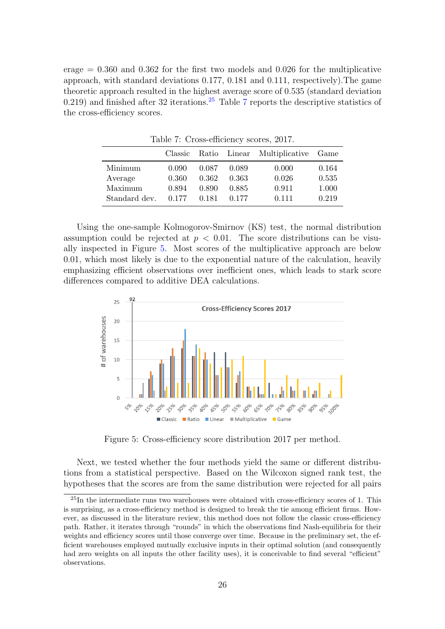erage  $= 0.360$  and  $0.362$  for the first two models and 0.026 for the multiplicative approach, with standard deviations 0.177, 0.181 and 0.111, respectively).The game theoretic approach resulted in the highest average score of 0.535 (standard deviation 0.219) and finished after 32 iterations.<sup>[25](#page-25-0)</sup> Table [7](#page-25-1) reports the descriptive statistics of the cross-efficiency scores.

|                               | $10010 + 110000$ concerney boot co, $2011$ . |                         |                         |                                  |                         |  |  |  |
|-------------------------------|----------------------------------------------|-------------------------|-------------------------|----------------------------------|-------------------------|--|--|--|
|                               | Classic                                      |                         |                         | Ratio Linear Multiplicative Game |                         |  |  |  |
| Minimum<br>Average<br>Maximum | 0.090<br>0.360<br>0.894                      | 0.087<br>0.362<br>0.890 | 0.089<br>0.363<br>0.885 | 0.000<br>0.026<br>0.911          | 0.164<br>0.535<br>1.000 |  |  |  |
| Standard dev.                 | 0.177                                        | 0.181                   | 0.177                   | 0.111                            | 0.219                   |  |  |  |

<span id="page-25-1"></span>Table 7: Cross-efficiency scores, 2017.

Using the one-sample Kolmogorov-Smirnov (KS) test, the normal distribution assumption could be rejected at  $p < 0.01$ . The score distributions can be visually inspected in Figure [5.](#page-25-2) Most scores of the multiplicative approach are below 0.01, which most likely is due to the exponential nature of the calculation, heavily emphasizing efficient observations over inefficient ones, which leads to stark score differences compared to additive DEA calculations.



<span id="page-25-2"></span>Figure 5: Cross-efficiency score distribution 2017 per method.

Next, we tested whether the four methods yield the same or different distributions from a statistical perspective. Based on the Wilcoxon signed rank test, the hypotheses that the scores are from the same distribution were rejected for all pairs

<span id="page-25-0"></span> $^{25}$ In the intermediate runs two warehouses were obtained with cross-efficiency scores of 1. This is surprising, as a cross-efficiency method is designed to break the tie among efficient firms. However, as discussed in the literature review, this method does not follow the classic cross-efficiency path. Rather, it iterates through "rounds" in which the observations find Nash-equilibria for their weights and efficiency scores until those converge over time. Because in the preliminary set, the efficient warehouses employed mutually exclusive inputs in their optimal solution (and consequently had zero weights on all inputs the other facility uses), it is conceivable to find several "efficient" observations.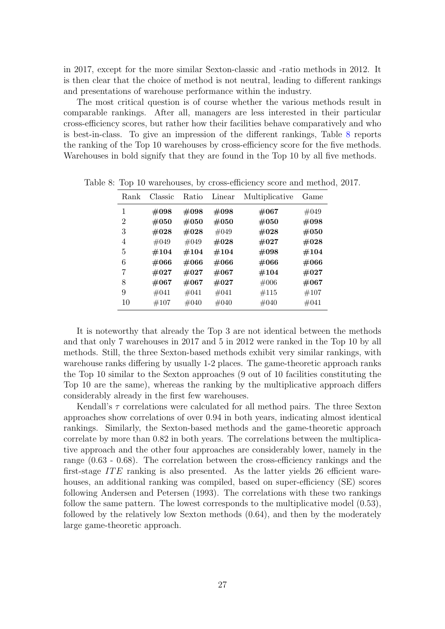in 2017, except for the more similar Sexton-classic and -ratio methods in 2012. It is then clear that the choice of method is not neutral, leading to different rankings and presentations of warehouse performance within the industry.

The most critical question is of course whether the various methods result in comparable rankings. After all, managers are less interested in their particular cross-efficiency scores, but rather how their facilities behave comparatively and who is best-in-class. To give an impression of the different rankings, Table [8](#page-26-0) reports the ranking of the Top 10 warehouses by cross-efficiency score for the five methods. Warehouses in bold signify that they are found in the Top 10 by all five methods.

<span id="page-26-0"></span>

| Rank | Classic | Ratio   | Linear  | Multiplicative | Game    |
|------|---------|---------|---------|----------------|---------|
| 1    | $\#098$ | $\#098$ | $\#098$ | $\#067$        | #049    |
| 2    | $\#050$ | #050    | #050    | #050           | #098    |
| 3    | $\#028$ | #028    | #049    | #028           | $\#050$ |
| 4    | $\#049$ | #049    | #028    | #027           | #028    |
| 5    | $\#104$ | $\#104$ | #104    | #098           | $\#104$ |
| 6    | #066    | #066    | #066    | #066           | #066    |
| 7    | $\#027$ | #027    | #067    | #104           | #027    |
| 8    | $\#067$ | $\#067$ | #027    | #006           | $\#067$ |
| 9    | #041    | #041    | #041    | #115           | #107    |
| 10   | #107    | #040    | $\#040$ | #040           | #041    |

Table 8: Top 10 warehouses, by cross-efficiency score and method, 2017.

It is noteworthy that already the Top 3 are not identical between the methods and that only 7 warehouses in 2017 and 5 in 2012 were ranked in the Top 10 by all methods. Still, the three Sexton-based methods exhibit very similar rankings, with warehouse ranks differing by usually 1-2 places. The game-theoretic approach ranks the Top 10 similar to the Sexton approaches (9 out of 10 facilities constituting the Top 10 are the same), whereas the ranking by the multiplicative approach differs considerably already in the first few warehouses.

Kendall's  $\tau$  correlations were calculated for all method pairs. The three Sexton approaches show correlations of over 0.94 in both years, indicating almost identical rankings. Similarly, the Sexton-based methods and the game-theoretic approach correlate by more than 0.82 in both years. The correlations between the multiplicative approach and the other four approaches are considerably lower, namely in the range (0.63 - 0.68). The correlation between the cross-efficiency rankings and the first-stage  $ITE$  ranking is also presented. As the latter yields 26 efficient warehouses, an additional ranking was compiled, based on super-efficiency (SE) scores following Andersen and Petersen (1993). The correlations with these two rankings follow the same pattern. The lowest corresponds to the multiplicative model (0.53), followed by the relatively low Sexton methods (0.64), and then by the moderately large game-theoretic approach.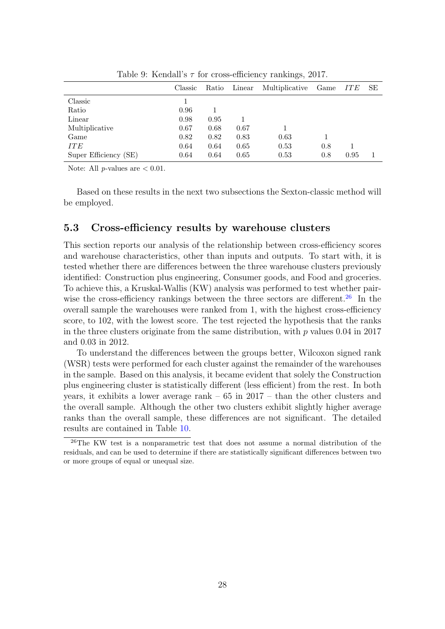|                       | Classic | Ratio | Linear | Multiplicative | Game | <b>ITE</b> | SE |
|-----------------------|---------|-------|--------|----------------|------|------------|----|
| Classic               |         |       |        |                |      |            |    |
| Ratio                 | 0.96    |       |        |                |      |            |    |
| Linear                | 0.98    | 0.95  |        |                |      |            |    |
| Multiplicative        | 0.67    | 0.68  | 0.67   |                |      |            |    |
| Game                  | 0.82    | 0.82  | 0.83   | 0.63           |      |            |    |
| <b>ITE</b>            | 0.64    | 0.64  | 0.65   | 0.53           | 0.8  |            |    |
| Super Efficiency (SE) | 0.64    | 0.64  | 0.65   | 0.53           | 0.8  | 0.95       |    |
|                       |         |       |        |                |      |            |    |

Table 9: Kendall's  $\tau$  for cross-efficiency rankings, 2017.

Note: All  $p$ -values are  $\lt$  0.01.

Based on these results in the next two subsections the Sexton-classic method will be employed.

### 5.3 Cross-efficiency results by warehouse clusters

This section reports our analysis of the relationship between cross-efficiency scores and warehouse characteristics, other than inputs and outputs. To start with, it is tested whether there are differences between the three warehouse clusters previously identified: Construction plus engineering, Consumer goods, and Food and groceries. To achieve this, a Kruskal-Wallis (KW) analysis was performed to test whether pair-wise the cross-efficiency rankings between the three sectors are different.<sup>[26](#page-27-0)</sup> In the overall sample the warehouses were ranked from 1, with the highest cross-efficiency score, to 102, with the lowest score. The test rejected the hypothesis that the ranks in the three clusters originate from the same distribution, with  $p$  values 0.04 in 2017 and 0.03 in 2012.

To understand the differences between the groups better, Wilcoxon signed rank (WSR) tests were performed for each cluster against the remainder of the warehouses in the sample. Based on this analysis, it became evident that solely the Construction plus engineering cluster is statistically different (less efficient) from the rest. In both years, it exhibits a lower average rank – 65 in 2017 – than the other clusters and the overall sample. Although the other two clusters exhibit slightly higher average ranks than the overall sample, these differences are not significant. The detailed results are contained in Table [10.](#page-28-0)

<span id="page-27-0"></span> $26$ The KW test is a nonparametric test that does not assume a normal distribution of the residuals, and can be used to determine if there are statistically significant differences between two or more groups of equal or unequal size.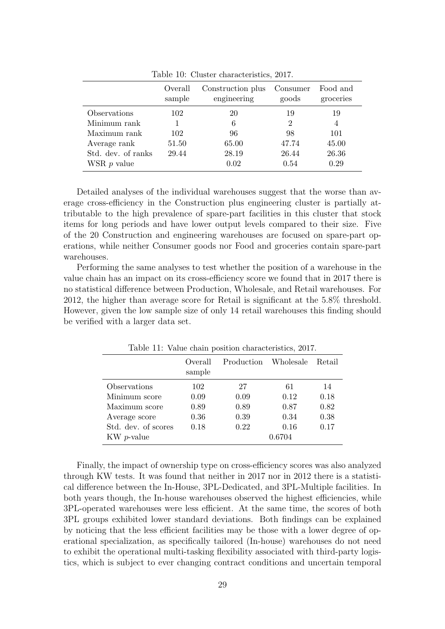|                    | Overall<br>sample | Construction plus<br>engineering | Consumer<br>goods | Food and<br>groceries |
|--------------------|-------------------|----------------------------------|-------------------|-----------------------|
| Observations       | 102               | 20                               | 19                | 19                    |
| Minimum rank       |                   | 6                                | 2                 | 4                     |
| Maximum rank       | 102               | 96                               | 98                | 101                   |
| Average rank       | 51.50             | 65.00                            | 47.74             | 45.00                 |
| Std. dev. of ranks | 29.44             | 28.19                            | 26.44             | 26.36                 |
| WSR $p$ value      |                   | 0.02                             | 0.54              | 0.29                  |

<span id="page-28-0"></span>Table 10: Cluster characteristics, 2017.

Detailed analyses of the individual warehouses suggest that the worse than average cross-efficiency in the Construction plus engineering cluster is partially attributable to the high prevalence of spare-part facilities in this cluster that stock items for long periods and have lower output levels compared to their size. Five of the 20 Construction and engineering warehouses are focused on spare-part operations, while neither Consumer goods nor Food and groceries contain spare-part warehouses.

Performing the same analyses to test whether the position of a warehouse in the value chain has an impact on its cross-efficiency score we found that in 2017 there is no statistical difference between Production, Wholesale, and Retail warehouses. For 2012, the higher than average score for Retail is significant at the 5.8% threshold. However, given the low sample size of only 14 retail warehouses this finding should be verified with a larger data set.

|                     | Overall<br>sample | Production Wholesale |        | Retail |
|---------------------|-------------------|----------------------|--------|--------|
| Observations        | 102               | 27                   | 61     | 14     |
| Minimum score       | 0.09              | 0.09                 | 0.12   | 0.18   |
| Maximum score       | 0.89              | 0.89                 | 0.87   | 0.82   |
| Average score       | 0.36              | 0.39                 | 0.34   | 0.38   |
| Std. dev. of scores | 0.18              | 0.22                 | 0.16   | 0.17   |
| $KW p-value$        |                   |                      | 0.6704 |        |

Table 11: Value chain position characteristics, 2017.

Finally, the impact of ownership type on cross-efficiency scores was also analyzed through KW tests. It was found that neither in 2017 nor in 2012 there is a statistical difference between the In-House, 3PL-Dedicated, and 3PL-Multiple facilities. In both years though, the In-house warehouses observed the highest efficiencies, while 3PL-operated warehouses were less efficient. At the same time, the scores of both 3PL groups exhibited lower standard deviations. Both findings can be explained by noticing that the less efficient facilities may be those with a lower degree of operational specialization, as specifically tailored (In-house) warehouses do not need to exhibit the operational multi-tasking flexibility associated with third-party logistics, which is subject to ever changing contract conditions and uncertain temporal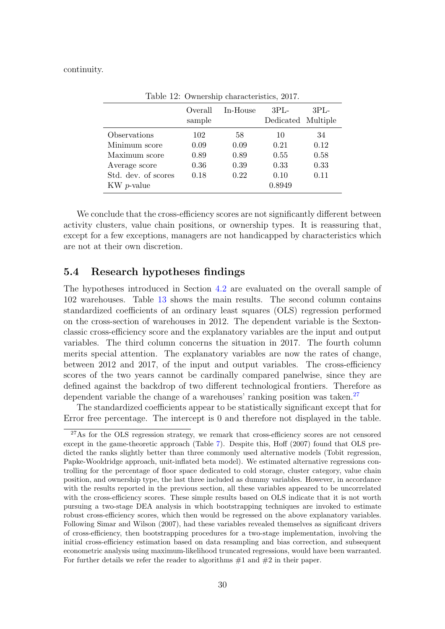#### continuity.

|                     | Overall<br>sample | In-House | $3PI -$<br>Dedicated Multiple | $3PL-$ |
|---------------------|-------------------|----------|-------------------------------|--------|
| Observations        | 102               | 58       | 10                            | 34     |
| Minimum score       | 0.09              | 0.09     | 0.21                          | 0.12   |
| Maximum score       | 0.89              | 0.89     | 0.55                          | 0.58   |
| Average score       | 0.36              | 0.39     | 0.33                          | 0.33   |
| Std. dev. of scores | 0.18              | 0.22     | 0.10                          | 0.11   |
| $KW p-value$        |                   |          | 0.8949                        |        |
|                     |                   |          |                               |        |

Table 12: Ownership characteristics, 2017.

We conclude that the cross-efficiency scores are not significantly different between activity clusters, value chain positions, or ownership types. It is reassuring that, except for a few exceptions, managers are not handicapped by characteristics which are not at their own discretion.

### 5.4 Research hypotheses findings

The hypotheses introduced in Section [4.2](#page-14-1) are evaluated on the overall sample of 102 warehouses. Table [13](#page-30-0) shows the main results. The second column contains standardized coefficients of an ordinary least squares (OLS) regression performed on the cross-section of warehouses in 2012. The dependent variable is the Sextonclassic cross-efficiency score and the explanatory variables are the input and output variables. The third column concerns the situation in 2017. The fourth column merits special attention. The explanatory variables are now the rates of change, between 2012 and 2017, of the input and output variables. The cross-efficiency scores of the two years cannot be cardinally compared panelwise, since they are defined against the backdrop of two different technological frontiers. Therefore as dependent variable the change of a warehouses' ranking position was taken.<sup>[27](#page-29-0)</sup>

The standardized coefficients appear to be statistically significant except that for Error free percentage. The intercept is 0 and therefore not displayed in the table.

<span id="page-29-0"></span> $^{27}$ As for the OLS regression strategy, we remark that cross-efficiency scores are not censored except in the game-theoretic approach (Table [7\)](#page-25-1). Despite this, Hoff (2007) found that OLS predicted the ranks slightly better than three commonly used alternative models (Tobit regression, Papke-Wooldridge approach, unit-inflated beta model). We estimated alternative regressions controlling for the percentage of floor space dedicated to cold storage, cluster category, value chain position, and ownership type, the last three included as dummy variables. However, in accordance with the results reported in the previous section, all these variables appeared to be uncorrelated with the cross-efficiency scores. These simple results based on OLS indicate that it is not worth pursuing a two-stage DEA analysis in which bootstrapping techniques are invoked to estimate robust cross-efficiency scores, which then would be regressed on the above explanatory variables. Following Simar and Wilson (2007), had these variables revealed themselves as significant drivers of cross-efficiency, then bootstrapping procedures for a two-stage implementation, involving the initial cross-efficiency estimation based on data resampling and bias correction, and subsequent econometric analysis using maximum-likelihood truncated regressions, would have been warranted. For further details we refer the reader to algorithms  $#1$  and  $#2$  in their paper.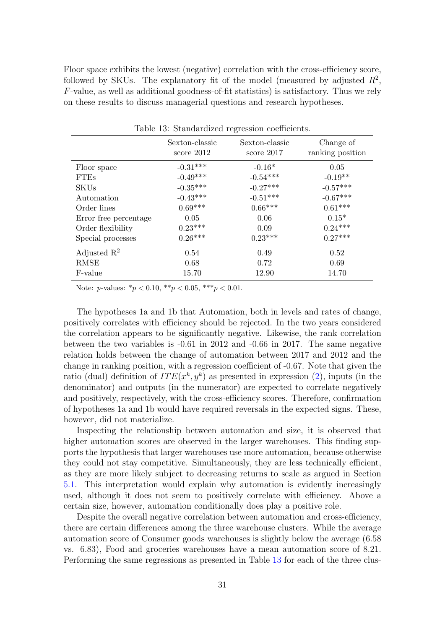Floor space exhibits the lowest (negative) correlation with the cross-efficiency score, followed by SKUs. The explanatory fit of the model (measured by adjusted  $R^2$ , F-value, as well as additional goodness-of-fit statistics) is satisfactory. Thus we rely on these results to discuss managerial questions and research hypotheses.

|                         |                                | $\check{~}$                    |                               |
|-------------------------|--------------------------------|--------------------------------|-------------------------------|
|                         | Sexton-classic<br>score $2012$ | Sexton-classic<br>score $2017$ | Change of<br>ranking position |
| Floor space             | $-0.31***$                     | $-0.16*$                       | 0.05                          |
| <b>FTEs</b>             | $-0.49***$                     | $-0.54***$                     | $-0.19**$                     |
| <b>SKUs</b>             | $-0.35***$                     | $-0.27***$                     | $-0.57***$                    |
| Automation              | $-0.43***$                     | $-0.51***$                     | $-0.67***$                    |
| Order lines             | $0.69***$                      | $0.66***$                      | $0.61***$                     |
| Error free percentage   | 0.05                           | 0.06                           | $0.15*$                       |
| Order flexibility       | $0.23***$                      | 0.09                           | $0.24***$                     |
| Special processes       | $0.26***$                      | $0.23***$                      | $0.27***$                     |
| Adjusted $\mathbb{R}^2$ | 0.54                           | 0.49                           | 0.52                          |
| <b>RMSE</b>             | 0.68                           | 0.72                           | 0.69                          |
| F-value                 | 15.70                          | 12.90                          | 14.70                         |

<span id="page-30-0"></span>Table 13: Standardized regression coefficients.

Note: *p*-values:  $* p < 0.10, ** p < 0.05, *** p < 0.01$ .

The hypotheses 1a and 1b that Automation, both in levels and rates of change, positively correlates with efficiency should be rejected. In the two years considered the correlation appears to be significantly negative. Likewise, the rank correlation between the two variables is -0.61 in 2012 and -0.66 in 2017. The same negative relation holds between the change of automation between 2017 and 2012 and the change in ranking position, with a regression coefficient of -0.67. Note that given the ratio (dual) definition of  $ITE(x^k, y^k)$  as presented in expression [\(2\)](#page-6-2), inputs (in the denominator) and outputs (in the numerator) are expected to correlate negatively and positively, respectively, with the cross-efficiency scores. Therefore, confirmation of hypotheses 1a and 1b would have required reversals in the expected signs. These, however, did not materialize.

Inspecting the relationship between automation and size, it is observed that higher automation scores are observed in the larger warehouses. This finding supports the hypothesis that larger warehouses use more automation, because otherwise they could not stay competitive. Simultaneously, they are less technically efficient, as they are more likely subject to decreasing returns to scale as argued in Section [5.1.](#page-20-3) This interpretation would explain why automation is evidently increasingly used, although it does not seem to positively correlate with efficiency. Above a certain size, however, automation conditionally does play a positive role.

Despite the overall negative correlation between automation and cross-efficiency, there are certain differences among the three warehouse clusters. While the average automation score of Consumer goods warehouses is slightly below the average (6.58 vs. 6.83), Food and groceries warehouses have a mean automation score of 8.21. Performing the same regressions as presented in Table [13](#page-30-0) for each of the three clus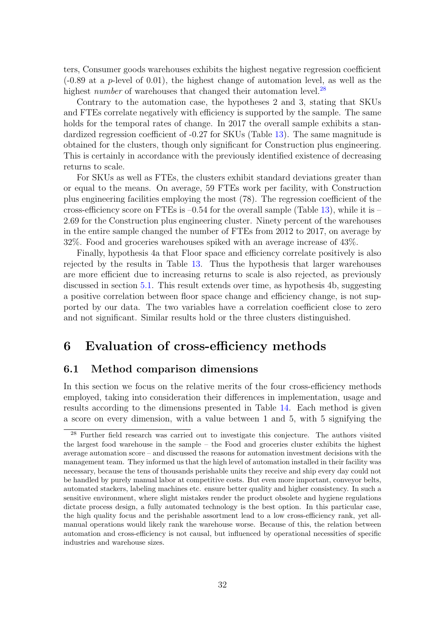ters, Consumer goods warehouses exhibits the highest negative regression coefficient  $(-0.89$  at a p-level of  $(0.01)$ , the highest change of automation level, as well as the highest number of warehouses that changed their automation level.<sup>[28](#page-31-0)</sup>

Contrary to the automation case, the hypotheses 2 and 3, stating that SKUs and FTEs correlate negatively with efficiency is supported by the sample. The same holds for the temporal rates of change. In 2017 the overall sample exhibits a standardized regression coefficient of -0.27 for SKUs (Table [13\)](#page-30-0). The same magnitude is obtained for the clusters, though only significant for Construction plus engineering. This is certainly in accordance with the previously identified existence of decreasing returns to scale.

For SKUs as well as FTEs, the clusters exhibit standard deviations greater than or equal to the means. On average, 59 FTEs work per facility, with Construction plus engineering facilities employing the most (78). The regression coefficient of the cross-efficiency score on FTEs is  $-0.54$  for the overall sample (Table [13\)](#page-30-0), while it is  $-$ 2.69 for the Construction plus engineering cluster. Ninety percent of the warehouses in the entire sample changed the number of FTEs from 2012 to 2017, on average by 32%. Food and groceries warehouses spiked with an average increase of 43%.

Finally, hypothesis 4a that Floor space and efficiency correlate positively is also rejected by the results in Table [13.](#page-30-0) Thus the hypothesis that larger warehouses are more efficient due to increasing returns to scale is also rejected, as previously discussed in section [5.1.](#page-20-3) This result extends over time, as hypothesis 4b, suggesting a positive correlation between floor space change and efficiency change, is not supported by our data. The two variables have a correlation coefficient close to zero and not significant. Similar results hold or the three clusters distinguished.

# 6 Evaluation of cross-efficiency methods

### 6.1 Method comparison dimensions

In this section we focus on the relative merits of the four cross-efficiency methods employed, taking into consideration their differences in implementation, usage and results according to the dimensions presented in Table [14.](#page-33-0) Each method is given a score on every dimension, with a value between 1 and 5, with 5 signifying the

<span id="page-31-0"></span><sup>&</sup>lt;sup>28</sup> Further field research was carried out to investigate this conjecture. The authors visited the largest food warehouse in the sample – the Food and groceries cluster exhibits the highest average automation score – and discussed the reasons for automation investment decisions with the management team. They informed us that the high level of automation installed in their facility was necessary, because the tens of thousands perishable units they receive and ship every day could not be handled by purely manual labor at competitive costs. But even more important, conveyor belts, automated stackers, labeling machines etc. ensure better quality and higher consistency. In such a sensitive environment, where slight mistakes render the product obsolete and hygiene regulations dictate process design, a fully automated technology is the best option. In this particular case, the high quality focus and the perishable assortment lead to a low cross-efficiency rank, yet allmanual operations would likely rank the warehouse worse. Because of this, the relation between automation and cross-efficiency is not causal, but influenced by operational necessities of specific industries and warehouse sizes.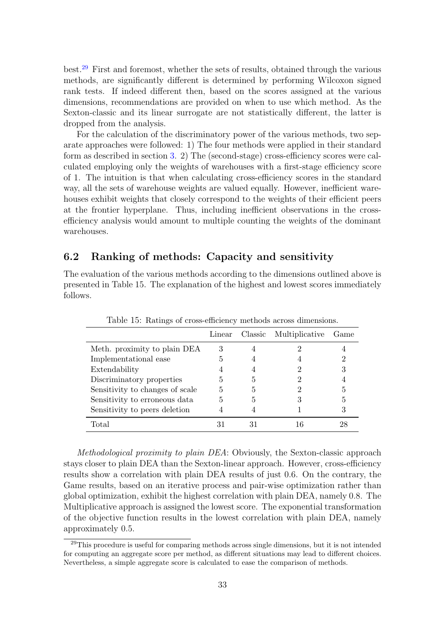best.[29](#page-32-0) First and foremost, whether the sets of results, obtained through the various methods, are significantly different is determined by performing Wilcoxon signed rank tests. If indeed different then, based on the scores assigned at the various dimensions, recommendations are provided on when to use which method. As the Sexton-classic and its linear surrogate are not statistically different, the latter is dropped from the analysis.

For the calculation of the discriminatory power of the various methods, two separate approaches were followed: 1) The four methods were applied in their standard form as described in section [3.](#page-8-1) 2) The (second-stage) cross-efficiency scores were calculated employing only the weights of warehouses with a first-stage efficiency score of 1. The intuition is that when calculating cross-efficiency scores in the standard way, all the sets of warehouse weights are valued equally. However, inefficient warehouses exhibit weights that closely correspond to the weights of their efficient peers at the frontier hyperplane. Thus, including inefficient observations in the crossefficiency analysis would amount to multiple counting the weights of the dominant warehouses.

### 6.2 Ranking of methods: Capacity and sensitivity

The evaluation of the various methods according to the dimensions outlined above is presented in Table 15. The explanation of the highest and lowest scores immediately follows.

|                                 | Linear |   | Classic Multiplicative | Game |
|---------------------------------|--------|---|------------------------|------|
| Meth. proximity to plain DEA    |        |   |                        |      |
| Implementational ease           |        |   |                        |      |
| Extendability                   |        |   |                        |      |
| Discriminatory properties       |        |   |                        |      |
| Sensitivity to changes of scale | 5      | 5 |                        | 5    |
| Sensitivity to erroneous data   |        | 5 |                        | 5    |
| Sensitivity to peers deletion   |        |   |                        |      |
| Total                           |        |   |                        | 28   |

<span id="page-32-1"></span>Table 15: Ratings of cross-efficiency methods across dimensions.

Methodological proximity to plain DEA: Obviously, the Sexton-classic approach stays closer to plain DEA than the Sexton-linear approach. However, cross-efficiency results show a correlation with plain DEA results of just 0.6. On the contrary, the Game results, based on an iterative process and pair-wise optimization rather than global optimization, exhibit the highest correlation with plain DEA, namely 0.8. The Multiplicative approach is assigned the lowest score. The exponential transformation of the objective function results in the lowest correlation with plain DEA, namely approximately 0.5.

<span id="page-32-0"></span><sup>&</sup>lt;sup>29</sup>This procedure is useful for comparing methods across single dimensions, but it is not intended for computing an aggregate score per method, as different situations may lead to different choices. Nevertheless, a simple aggregate score is calculated to ease the comparison of methods.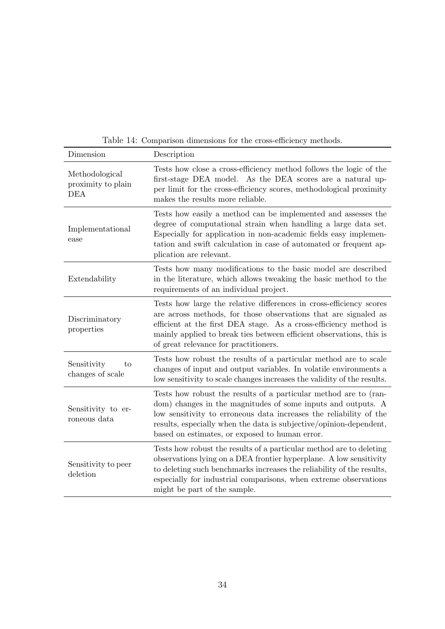| Dimension                                          | Description                                                                                                                                                                                                                                                                                                                    |
|----------------------------------------------------|--------------------------------------------------------------------------------------------------------------------------------------------------------------------------------------------------------------------------------------------------------------------------------------------------------------------------------|
| Methodological<br>proximity to plain<br><b>DEA</b> | Tests how close a cross-efficiency method follows the logic of the<br>first-stage DEA model. As the DEA scores are a natural up-<br>per limit for the cross-efficiency scores, methodological proximity<br>makes the results more reliable.                                                                                    |
| Implementational<br>ease                           | Tests how easily a method can be implemented and assesses the<br>degree of computational strain when handling a large data set.<br>Especially for application in non-academic fields easy implemen-<br>tation and swift calculation in case of automated or frequent ap-<br>plication are relevant.                            |
| Extendability                                      | Tests how many modifications to the basic model are described<br>in the literature, which allows tweaking the basic method to the<br>requirements of an individual project.                                                                                                                                                    |
| Discriminatory<br>properties                       | Tests how large the relative differences in cross-efficiency scores<br>are across methods, for those observations that are signaled as<br>efficient at the first DEA stage. As a cross-efficiency method is<br>mainly applied to break ties between efficient observations, this is<br>of great relevance for practitioners.   |
| Sensitivity<br>to<br>changes of scale              | Tests how robust the results of a particular method are to scale<br>changes of input and output variables. In volatile environments a<br>low sensitivity to scale changes increases the validity of the results.                                                                                                               |
| Sensitivity to er-<br>roneous data                 | Tests how robust the results of a particular method are to (ran-<br>dom) changes in the magnitudes of some inputs and outputs. A<br>low sensitivity to erroneous data increases the reliability of the<br>results, especially when the data is subjective/opinion-dependent,<br>based on estimates, or exposed to human error. |
| Sensitivity to peer<br>deletion                    | Tests how robust the results of a particular method are to deleting<br>observations lying on a DEA frontier hyperplane. A low sensitivity<br>to deleting such benchmarks increases the reliability of the results,<br>especially for industrial comparisons, when extreme observations<br>might be part of the sample.         |

<span id="page-33-0"></span>Table 14: Comparison dimensions for the cross-efficiency methods.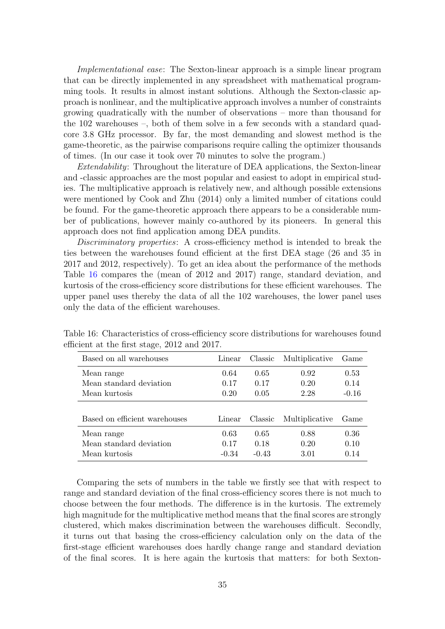Implementational ease: The Sexton-linear approach is a simple linear program that can be directly implemented in any spreadsheet with mathematical programming tools. It results in almost instant solutions. Although the Sexton-classic approach is nonlinear, and the multiplicative approach involves a number of constraints growing quadratically with the number of observations – more than thousand for the 102 warehouses –, both of them solve in a few seconds with a standard quadcore 3.8 GHz processor. By far, the most demanding and slowest method is the game-theoretic, as the pairwise comparisons require calling the optimizer thousands of times. (In our case it took over 70 minutes to solve the program.)

Extendability: Throughout the literature of DEA applications, the Sexton-linear and -classic approaches are the most popular and easiest to adopt in empirical studies. The multiplicative approach is relatively new, and although possible extensions were mentioned by Cook and Zhu (2014) only a limited number of citations could be found. For the game-theoretic approach there appears to be a considerable number of publications, however mainly co-authored by its pioneers. In general this approach does not find application among DEA pundits.

Discriminatory properties: A cross-efficiency method is intended to break the ties between the warehouses found efficient at the first DEA stage (26 and 35 in 2017 and 2012, respectively). To get an idea about the performance of the methods Table [16](#page-34-0) compares the (mean of 2012 and 2017) range, standard deviation, and kurtosis of the cross-efficiency score distributions for these efficient warehouses. The upper panel uses thereby the data of all the 102 warehouses, the lower panel uses only the data of the efficient warehouses.

<span id="page-34-0"></span>

| Based on all warehouses                                | Linear                  | Classic                 | Multiplicative       | Game                 |
|--------------------------------------------------------|-------------------------|-------------------------|----------------------|----------------------|
| Mean range<br>Mean standard deviation                  | 0.64<br>0.17            | 0.65<br>0.17            | 0.92<br>0.20         | 0.53<br>0.14         |
| Mean kurtosis                                          | 0.20                    | 0.05                    | 2.28                 | $-0.16$              |
| Based on efficient warehouses                          | Linear                  | Classic                 | Multiplicative       | Game                 |
| Mean range<br>Mean standard deviation<br>Mean kurtosis | 0.63<br>0.17<br>$-0.34$ | 0.65<br>0.18<br>$-0.43$ | 0.88<br>0.20<br>3.01 | 0.36<br>0.10<br>0.14 |

Table 16: Characteristics of cross-efficiency score distributions for warehouses found efficient at the first stage, 2012 and 2017.

Comparing the sets of numbers in the table we firstly see that with respect to range and standard deviation of the final cross-efficiency scores there is not much to choose between the four methods. The difference is in the kurtosis. The extremely high magnitude for the multiplicative method means that the final scores are strongly clustered, which makes discrimination between the warehouses difficult. Secondly, it turns out that basing the cross-efficiency calculation only on the data of the first-stage efficient warehouses does hardly change range and standard deviation of the final scores. It is here again the kurtosis that matters: for both Sexton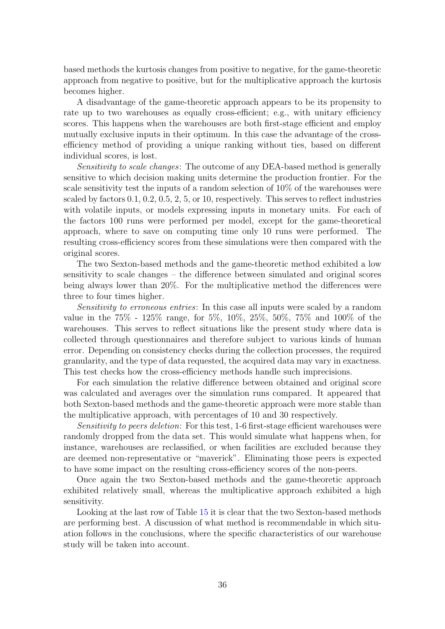based methods the kurtosis changes from positive to negative, for the game-theoretic approach from negative to positive, but for the multiplicative approach the kurtosis becomes higher.

A disadvantage of the game-theoretic approach appears to be its propensity to rate up to two warehouses as equally cross-efficient; e.g., with unitary efficiency scores. This happens when the warehouses are both first-stage efficient and employ mutually exclusive inputs in their optimum. In this case the advantage of the crossefficiency method of providing a unique ranking without ties, based on different individual scores, is lost.

Sensitivity to scale changes: The outcome of any DEA-based method is generally sensitive to which decision making units determine the production frontier. For the scale sensitivity test the inputs of a random selection of 10% of the warehouses were scaled by factors 0.1, 0.2, 0.5, 2, 5, or 10, respectively. This serves to reflect industries with volatile inputs, or models expressing inputs in monetary units. For each of the factors 100 runs were performed per model, except for the game-theoretical approach, where to save on computing time only 10 runs were performed. The resulting cross-efficiency scores from these simulations were then compared with the original scores.

The two Sexton-based methods and the game-theoretic method exhibited a low sensitivity to scale changes – the difference between simulated and original scores being always lower than 20%. For the multiplicative method the differences were three to four times higher.

Sensitivity to erroneous entries: In this case all inputs were scaled by a random value in the 75% - 125% range, for 5%, 10%, 25%, 50%, 75% and 100% of the warehouses. This serves to reflect situations like the present study where data is collected through questionnaires and therefore subject to various kinds of human error. Depending on consistency checks during the collection processes, the required granularity, and the type of data requested, the acquired data may vary in exactness. This test checks how the cross-efficiency methods handle such imprecisions.

For each simulation the relative difference between obtained and original score was calculated and averages over the simulation runs compared. It appeared that both Sexton-based methods and the game-theoretic approach were more stable than the multiplicative approach, with percentages of 10 and 30 respectively.

Sensitivity to peers deletion: For this test, 1-6 first-stage efficient warehouses were randomly dropped from the data set. This would simulate what happens when, for instance, warehouses are reclassified, or when facilities are excluded because they are deemed non-representative or "maverick". Eliminating those peers is expected to have some impact on the resulting cross-efficiency scores of the non-peers.

Once again the two Sexton-based methods and the game-theoretic approach exhibited relatively small, whereas the multiplicative approach exhibited a high sensitivity.

Looking at the last row of Table [15](#page-32-1) it is clear that the two Sexton-based methods are performing best. A discussion of what method is recommendable in which situation follows in the conclusions, where the specific characteristics of our warehouse study will be taken into account.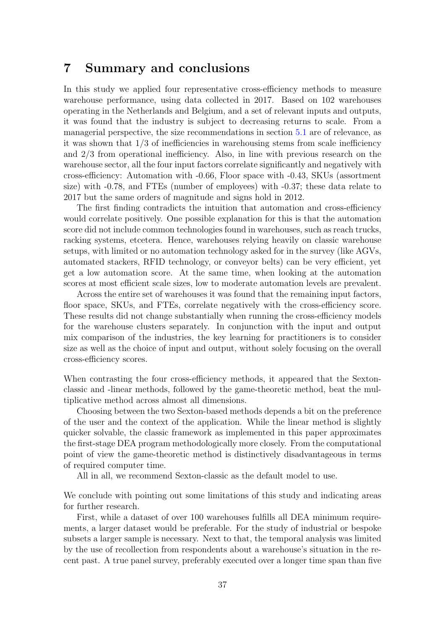### 7 Summary and conclusions

In this study we applied four representative cross-efficiency methods to measure warehouse performance, using data collected in 2017. Based on 102 warehouses operating in the Netherlands and Belgium, and a set of relevant inputs and outputs, it was found that the industry is subject to decreasing returns to scale. From a managerial perspective, the size recommendations in section [5.1](#page-20-3) are of relevance, as it was shown that 1/3 of inefficiencies in warehousing stems from scale inefficiency and 2/3 from operational inefficiency. Also, in line with previous research on the warehouse sector, all the four input factors correlate significantly and negatively with cross-efficiency: Automation with -0.66, Floor space with -0.43, SKUs (assortment size) with -0.78, and FTEs (number of employees) with -0.37; these data relate to 2017 but the same orders of magnitude and signs hold in 2012.

The first finding contradicts the intuition that automation and cross-efficiency would correlate positively. One possible explanation for this is that the automation score did not include common technologies found in warehouses, such as reach trucks, racking systems, etcetera. Hence, warehouses relying heavily on classic warehouse setups, with limited or no automation technology asked for in the survey (like AGVs, automated stackers, RFID technology, or conveyor belts) can be very efficient, yet get a low automation score. At the same time, when looking at the automation scores at most efficient scale sizes, low to moderate automation levels are prevalent.

Across the entire set of warehouses it was found that the remaining input factors, floor space, SKUs, and FTEs, correlate negatively with the cross-efficiency score. These results did not change substantially when running the cross-efficiency models for the warehouse clusters separately. In conjunction with the input and output mix comparison of the industries, the key learning for practitioners is to consider size as well as the choice of input and output, without solely focusing on the overall cross-efficiency scores.

When contrasting the four cross-efficiency methods, it appeared that the Sextonclassic and -linear methods, followed by the game-theoretic method, beat the multiplicative method across almost all dimensions.

Choosing between the two Sexton-based methods depends a bit on the preference of the user and the context of the application. While the linear method is slightly quicker solvable, the classic framework as implemented in this paper approximates the first-stage DEA program methodologically more closely. From the computational point of view the game-theoretic method is distinctively disadvantageous in terms of required computer time.

All in all, we recommend Sexton-classic as the default model to use.

We conclude with pointing out some limitations of this study and indicating areas for further research.

First, while a dataset of over 100 warehouses fulfills all DEA minimum requirements, a larger dataset would be preferable. For the study of industrial or bespoke subsets a larger sample is necessary. Next to that, the temporal analysis was limited by the use of recollection from respondents about a warehouse's situation in the recent past. A true panel survey, preferably executed over a longer time span than five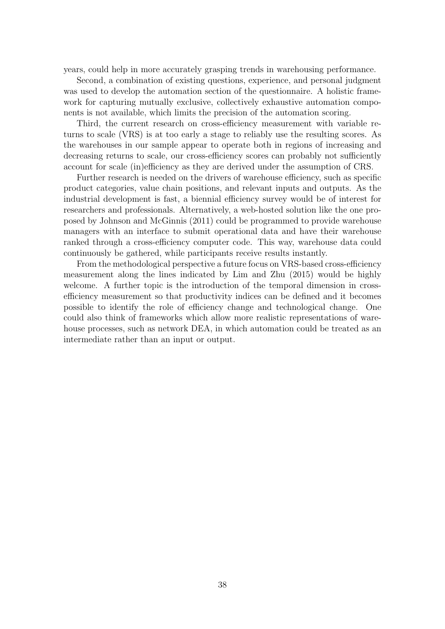years, could help in more accurately grasping trends in warehousing performance.

Second, a combination of existing questions, experience, and personal judgment was used to develop the automation section of the questionnaire. A holistic framework for capturing mutually exclusive, collectively exhaustive automation components is not available, which limits the precision of the automation scoring.

Third, the current research on cross-efficiency measurement with variable returns to scale (VRS) is at too early a stage to reliably use the resulting scores. As the warehouses in our sample appear to operate both in regions of increasing and decreasing returns to scale, our cross-efficiency scores can probably not sufficiently account for scale (in)efficiency as they are derived under the assumption of CRS.

Further research is needed on the drivers of warehouse efficiency, such as specific product categories, value chain positions, and relevant inputs and outputs. As the industrial development is fast, a biennial efficiency survey would be of interest for researchers and professionals. Alternatively, a web-hosted solution like the one proposed by Johnson and McGinnis (2011) could be programmed to provide warehouse managers with an interface to submit operational data and have their warehouse ranked through a cross-efficiency computer code. This way, warehouse data could continuously be gathered, while participants receive results instantly.

From the methodological perspective a future focus on VRS-based cross-efficiency measurement along the lines indicated by Lim and Zhu (2015) would be highly welcome. A further topic is the introduction of the temporal dimension in crossefficiency measurement so that productivity indices can be defined and it becomes possible to identify the role of efficiency change and technological change. One could also think of frameworks which allow more realistic representations of warehouse processes, such as network DEA, in which automation could be treated as an intermediate rather than an input or output.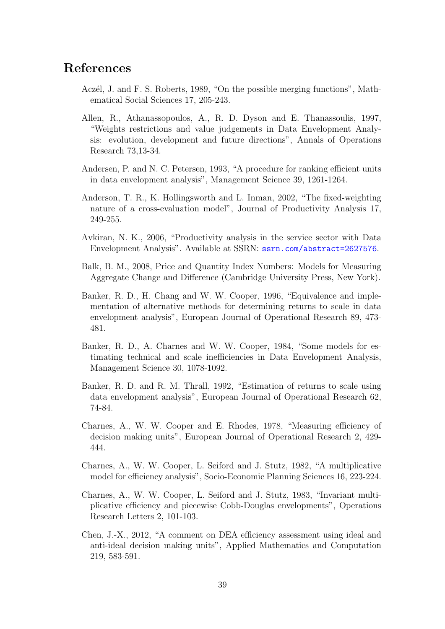## References

- Aczél, J. and F. S. Roberts, 1989, "On the possible merging functions", Mathematical Social Sciences 17, 205-243.
- Allen, R., Athanassopoulos, A., R. D. Dyson and E. Thanassoulis, 1997, "Weights restrictions and value judgements in Data Envelopment Analysis: evolution, development and future directions", Annals of Operations Research 73,13-34.
- Andersen, P. and N. C. Petersen, 1993, "A procedure for ranking efficient units in data envelopment analysis", Management Science 39, 1261-1264.
- Anderson, T. R., K. Hollingsworth and L. Inman, 2002, "The fixed-weighting nature of a cross-evaluation model", Journal of Productivity Analysis 17, 249-255.
- Avkiran, N. K., 2006, "Productivity analysis in the service sector with Data Envelopment Analysis". Available at SSRN: <ssrn.com/abstract=2627576>.
- Balk, B. M., 2008, Price and Quantity Index Numbers: Models for Measuring Aggregate Change and Difference (Cambridge University Press, New York).
- Banker, R. D., H. Chang and W. W. Cooper, 1996, "Equivalence and implementation of alternative methods for determining returns to scale in data envelopment analysis", European Journal of Operational Research 89, 473- 481.
- Banker, R. D., A. Charnes and W. W. Cooper, 1984, "Some models for estimating technical and scale inefficiencies in Data Envelopment Analysis, Management Science 30, 1078-1092.
- Banker, R. D. and R. M. Thrall, 1992, "Estimation of returns to scale using data envelopment analysis", European Journal of Operational Research 62, 74-84.
- Charnes, A., W. W. Cooper and E. Rhodes, 1978, "Measuring efficiency of decision making units", European Journal of Operational Research 2, 429- 444.
- Charnes, A., W. W. Cooper, L. Seiford and J. Stutz, 1982, "A multiplicative model for efficiency analysis", Socio-Economic Planning Sciences 16, 223-224.
- Charnes, A., W. W. Cooper, L. Seiford and J. Stutz, 1983, "Invariant multiplicative efficiency and piecewise Cobb-Douglas envelopments", Operations Research Letters 2, 101-103.
- Chen, J.-X., 2012, "A comment on DEA efficiency assessment using ideal and anti-ideal decision making units", Applied Mathematics and Computation 219, 583-591.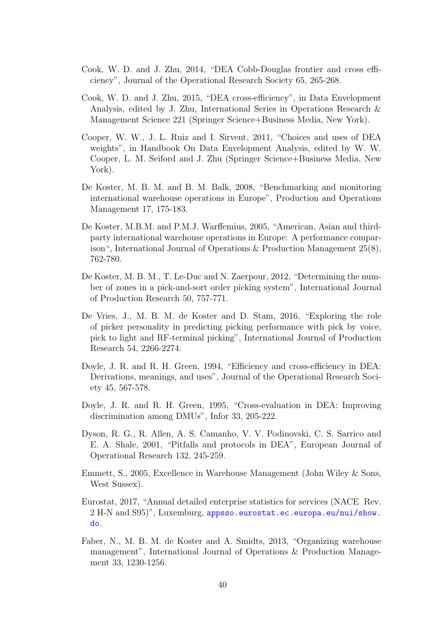- Cook, W. D. and J. Zhu, 2014, "DEA Cobb-Douglas frontier and cross efficiency", Journal of the Operational Research Society 65, 265-268.
- Cook, W. D. and J. Zhu, 2015, "DEA cross-efficiency", in Data Envelopment Analysis, edited by J. Zhu, International Series in Operations Research & Management Science 221 (Springer Science+Business Media, New York).
- Cooper, W. W., J. L. Ruiz and I. Sirvent, 2011, "Choices and uses of DEA weights", in Handbook On Data Envelopment Analysis, edited by W. W. Cooper, L. M. Seiford and J. Zhu (Springer Science+Business Media, New York).
- De Koster, M. B. M. and B. M. Balk, 2008, "Benchmarking and monitoring international warehouse operations in Europe", Production and Operations Management 17, 175-183.
- De Koster, M.B.M. and P.M.J. Warffemius, 2005, "American, Asian and thirdparty international warehouse operations in Europe: A performance comparison", International Journal of Operations & Production Management 25(8), 762-780.
- De Koster, M. B. M., T. Le-Duc and N. Zaerpour, 2012, "Determining the number of zones in a pick-and-sort order picking system", International Journal of Production Research 50, 757-771.
- De Vries, J., M. B. M. de Koster and D. Stam, 2016, "Exploring the role of picker personality in predicting picking performance with pick by voice, pick to light and RF-terminal picking", International Journal of Production Research 54, 2266-2274.
- Doyle, J. R. and R. H. Green, 1994, "Efficiency and cross-efficiency in DEA: Derivations, meanings, and uses", Journal of the Operational Research Society 45, 567-578.
- Doyle, J. R. and R. H. Green, 1995, "Cross-evaluation in DEA: Improving discrimination among DMUs", Infor 33, 205-222.
- Dyson, R. G., R. Allen, A. S. Camanho, V. V. Podinovski, C. S. Sarrico and E. A. Shale, 2001, "Pitfalls and protocols in DEA", European Journal of Operational Research 132, 245-259.
- Emmett, S., 2005, Excellence in Warehouse Management (John Wiley & Sons, West Sussex).
- Eurostat, 2017, "Annual detailed enterprise statistics for services (NACE Rev. 2 H-N and S95)", Luxemburg, [appsso.eurostat.ec.europa.eu/nui/show.](appsso.eurostat.ec.europa.eu/nui/show.do) [do](appsso.eurostat.ec.europa.eu/nui/show.do).
- Faber, N., M. B. M. de Koster and A. Smidts, 2013, "Organizing warehouse management", International Journal of Operations & Production Management 33, 1230-1256.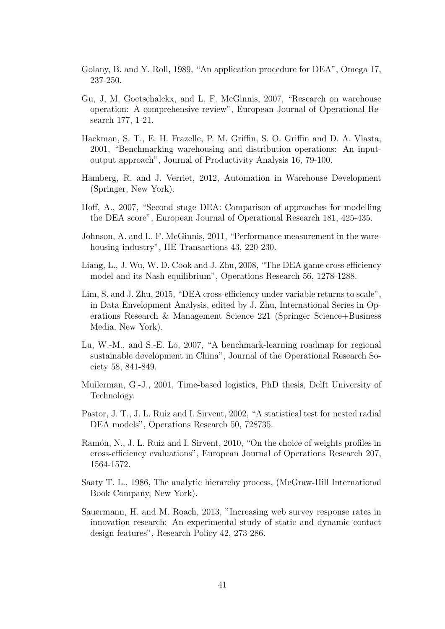- Golany, B. and Y. Roll, 1989, "An application procedure for DEA", Omega 17, 237-250.
- Gu, J, M. Goetschalckx, and L. F. McGinnis, 2007, "Research on warehouse operation: A comprehensive review", European Journal of Operational Research 177, 1-21.
- Hackman, S. T., E. H. Frazelle, P. M. Griffin, S. O. Griffin and D. A. Vlasta, 2001, "Benchmarking warehousing and distribution operations: An inputoutput approach", Journal of Productivity Analysis 16, 79-100.
- Hamberg, R. and J. Verriet, 2012, Automation in Warehouse Development (Springer, New York).
- Hoff, A., 2007, "Second stage DEA: Comparison of approaches for modelling the DEA score", European Journal of Operational Research 181, 425-435.
- Johnson, A. and L. F. McGinnis, 2011, "Performance measurement in the warehousing industry", IIE Transactions 43, 220-230.
- Liang, L., J. Wu, W. D. Cook and J. Zhu, 2008, "The DEA game cross efficiency model and its Nash equilibrium", Operations Research 56, 1278-1288.
- Lim, S. and J. Zhu, 2015, "DEA cross-efficiency under variable returns to scale", in Data Envelopment Analysis, edited by J. Zhu, International Series in Operations Research & Management Science 221 (Springer Science+Business Media, New York).
- Lu, W.-M., and S.-E. Lo, 2007, "A benchmark-learning roadmap for regional sustainable development in China", Journal of the Operational Research Society 58, 841-849.
- Muilerman, G.-J., 2001, Time-based logistics, PhD thesis, Delft University of Technology.
- Pastor, J. T., J. L. Ruiz and I. Sirvent, 2002, "A statistical test for nested radial DEA models", Operations Research 50, 728735.
- Ramón, N., J. L. Ruiz and I. Sirvent, 2010, "On the choice of weights profiles in cross-efficiency evaluations", European Journal of Operations Research 207, 1564-1572.
- Saaty T. L., 1986, The analytic hierarchy process, (McGraw-Hill International Book Company, New York).
- Sauermann, H. and M. Roach, 2013, "Increasing web survey response rates in innovation research: An experimental study of static and dynamic contact design features", Research Policy 42, 273-286.